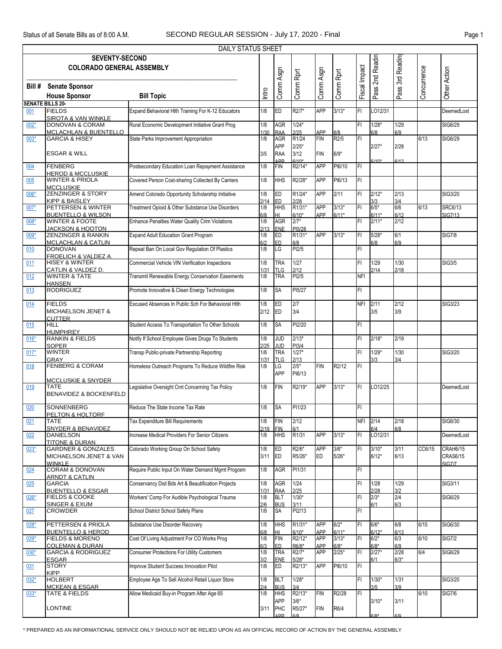|        |                                                            | <b>DAILY STATUS SHEET</b>                          |            |                   |                   |            |           |               |                    |                  |             |                 |
|--------|------------------------------------------------------------|----------------------------------------------------|------------|-------------------|-------------------|------------|-----------|---------------|--------------------|------------------|-------------|-----------------|
|        | <b>SEVENTY-SECOND</b>                                      |                                                    |            |                   |                   |            |           |               |                    |                  |             |                 |
|        | <b>COLORADO GENERAL ASSEMBLY</b>                           |                                                    |            |                   |                   |            |           |               | Pass 2nd Readin    | Pass 3rd Reading |             |                 |
|        |                                                            |                                                    |            | Comm Asgn         | Comm Rprt         | Comm Asgn  | Comm Rprt | Fiscal Impact |                    |                  | Concurrence | Other Action    |
|        |                                                            |                                                    |            |                   |                   |            |           |               |                    |                  |             |                 |
| Bill # | <b>Senate Sponsor</b>                                      |                                                    |            |                   |                   |            |           |               |                    |                  |             |                 |
|        | <b>House Sponsor</b>                                       | <b>Bill Topic</b>                                  | Intro      |                   |                   |            |           |               |                    |                  |             |                 |
|        | <b>SENATE BILLS 20-</b>                                    |                                                    |            |                   |                   |            |           |               |                    |                  |             |                 |
| 001    | <b>FIELDS</b>                                              | Expand Behavioral Hlth Training For K-12 Educators | 1/8        | ED                | R2/7*             | <b>APP</b> | $3/13*$   | IFI           | LO12/31            |                  |             | DeemedLost      |
|        | SIROTA & VAN WINKLE                                        |                                                    |            |                   |                   |            |           |               |                    |                  |             |                 |
| $002*$ | <b>DONOVAN &amp; CORAM</b>                                 | Rural Economic Development Initiative Grant Prog   | 1/8        | <b>AGR</b>        | $1/24*$           |            |           | IFI           | $1/28*$            | 1/29             |             | SIG6/29         |
|        | <b>MCLACHLAN &amp; BUENTELLO</b>                           |                                                    | 1/30       | <b>RAA</b>        | 2/25              | APP        | 6/8       |               | 6/8                | 6/9              |             |                 |
| $003*$ | <b>GARCIA &amp; HISEY</b>                                  | State Parks Improvement Appropriation              | 1/8        | <b>AGR</b>        | R1/24             | FIN        | R2/5      | IFI           |                    |                  | 6/13        | SIG6/29         |
|        |                                                            |                                                    |            | <b>APP</b>        | $2/25*$           |            |           |               | $2/27*$            | 2/28             |             |                 |
|        | <b>ESGAR &amp; WILL</b>                                    |                                                    | 3/5        | <b>RAA</b>        | 3/12              | <b>FIN</b> | $6/9*$    |               |                    |                  |             |                 |
|        |                                                            |                                                    |            | ΔD <sub>D</sub>   | $6/10*$           |            |           |               | $3/10*$            | 6/12             |             |                 |
| 004    | FENBERG                                                    | Postsecondary Education Loan Repayment Assistance  | 1/8        | <b>FIN</b>        | R2/14*            | <b>APP</b> | PI6/10    | F             |                    |                  |             |                 |
|        | <b>HEROD &amp; MCCLUSKIE</b>                               |                                                    |            |                   |                   |            |           |               |                    |                  |             |                 |
| 005    | <b>WINTER &amp; PRIOLA</b>                                 | Covered Person Cost-sharing Collected By Carriers  | 1/8        | <b>HHS</b>        | R2/28*            | <b>APP</b> | PI6/13    | FL            |                    |                  |             |                 |
|        | <b>MCCLUSKIE</b>                                           |                                                    |            |                   |                   |            |           |               |                    |                  |             |                 |
| 006*   | <b>ZENZINGER &amp; STORY</b>                               | Amend Colorado Opportunity Scholarship Initiative  | 1/8        | ED                | R1/24*            | <b>APP</b> | 2/11      | IFI           | $2/12*$            | 2/13             |             | SIG3/20         |
|        | <b>KIPP &amp; BAISLEY</b>                                  |                                                    | 2/14       | <b>ED</b>         | 2/28              |            |           | lFı           | 3/3<br>$6/5*$      | 3/4<br>6/6       |             |                 |
| $007*$ | PETTERSEN & WINTER                                         | Treatment Opioid & Other Substance Use Disorders   | 1/8        | <b>HHS</b>        | R1/31*            | <b>APP</b> | $3/13*$   |               |                    |                  | 6/13        | <b>SRC6/13</b>  |
| $008*$ | <b>BUENTELLO &amp; WILSON</b><br><b>WINTER &amp; FOOTE</b> | Enhance Penalties Water Quality Crim Violations    | 6/8<br>1/8 | IНI<br><b>AGR</b> | $6/10*$<br>$2/7*$ | APP        | $6/11*$   | lFı           | $6/11*$<br>$2/11*$ | 6/12<br>2/12     |             | <b>SIG7/13</b>  |
|        | <u>JACKSON &amp; HOOTON</u>                                |                                                    | 2/13       | ENE               | PI5/28            |            |           |               |                    |                  |             |                 |
| 009*   | <b>ZENZINGER &amp; RANKIN</b>                              | <b>Expand Adult Education Grant Program</b>        | 1/8        | ED                | R1/31*            | <b>APP</b> | $3/13*$   | IFI           | $5/28*$            | 6/1              |             | <b>SIG7/8</b>   |
|        | <b>MCLACHLAN &amp; CATLIN</b>                              |                                                    | 6/2        | <b>ED</b>         | 6/8               |            |           |               | 6/8                | 6/9              |             |                 |
| 010    | <b>DONOVAN</b>                                             | Repeal Ban On Local Gov Regulation Of Plastics     | 1/8        | LG                | PI2/5             |            |           | IFI           |                    |                  |             |                 |
|        | <b>FROELICH &amp; VALDEZ A.</b>                            |                                                    |            |                   |                   |            |           |               |                    |                  |             |                 |
| 011    | <b>HISEY &amp; WINTER</b>                                  | Commercial Vehicle VIN Verification Inspections    | 1/8        | <b>TRA</b>        | 1/27              |            |           | IFI           | 1/29               | 1/30             |             | <b>SIG3/5</b>   |
|        | CATLIN & VALDEZ D.                                         |                                                    | 1/31       | <b>TLG</b>        | 2/12              |            |           |               | 2/14               | 2/18             |             |                 |
| 012    | <b>WINTER &amp; TATE</b>                                   | Transmit Renewable Energy Conservation Easements   | 1/8        | <b>TRA</b>        | PI2/5             |            |           | <b>NFI</b>    |                    |                  |             |                 |
|        | <b>HANSEN</b>                                              |                                                    |            |                   |                   |            |           |               |                    |                  |             |                 |
| 013    | <b>RODRIGUEZ</b>                                           | Promote Innovative & Clean Energy Technologies     | 1/8        | <b>SA</b>         | PI5/27            |            |           | IFI           |                    |                  |             |                 |
|        |                                                            |                                                    |            |                   |                   |            |           |               |                    |                  |             |                 |
| 014    | <b>FIELDS</b>                                              | Excused Absences In Public Sch For Behavioral HIth | 1/8        | ED                | 2/7               |            |           | <b>NFI</b>    | 2/11               | 2/12             |             | SIG3/23         |
|        | MICHAELSON JENET &                                         |                                                    | 2/12       | ED                | 3/4               |            |           |               | 3/5                | 3/9              |             |                 |
| 015    | <b>CUTTER</b><br><b>HILL</b>                               | Student Access To Transportation To Other Schools  | 1/8        | <b>SA</b>         | PI2/20            |            |           | FI            |                    |                  |             |                 |
|        | <b>HUMPHREY</b>                                            |                                                    |            |                   |                   |            |           |               |                    |                  |             |                 |
| $016*$ | <b>RANKIN &amp; FIELDS</b>                                 | Notify If School Employee Gives Drugs To Students  | 1/8        | <b>JUD</b>        | $2/13*$           |            |           | IFI           | $2/18*$            | 2/19             |             |                 |
|        | <b>SOPER</b>                                               |                                                    | 2/25       | <b>JUD</b>        | PI3/4             |            |           |               |                    |                  |             |                 |
| $017*$ | <b>WINTER</b>                                              | Transp Public-private Partnership Reporting        | 1/8        | <b>TRA</b>        | $1/27*$           |            |           | FI            | $1/29*$            | 1/30             |             | SIG3/20         |
|        | <b>GRAY</b>                                                |                                                    | 1/31       | <b>TLG</b>        | 2/13              |            |           |               | 3/3                | 3/4              |             |                 |
| 018    | <b>FENBERG &amp; CORAM</b>                                 | Homeless Outreach Programs To Reduce Wildfire Risk | 1/8        | LG                | $2/5*$            | <b>FIN</b> | R2/12     | İΕΙ           |                    |                  |             |                 |
|        |                                                            |                                                    |            | <b>APP</b>        | PI6/13            |            |           |               |                    |                  |             |                 |
|        | <b>MCCLUSKIE &amp; SNYDER</b>                              |                                                    |            |                   |                   |            |           |               |                    |                  |             |                 |
| 019    | TATE                                                       | Legislative Oversight Cmt Concerning Tax Policy    | 1/8        | <b>FIN</b>        | R2/19*            | <b>APP</b> | $3/13*$   | FI            | LO12/25            |                  |             | DeemedLost      |
|        | <b>BENAVIDEZ &amp; BOCKENFELD</b>                          |                                                    |            |                   |                   |            |           |               |                    |                  |             |                 |
|        |                                                            |                                                    |            |                   |                   |            |           |               |                    |                  |             |                 |
| 020    | <b>SONNENBERG</b>                                          | Reduce The State Income Tax Rate                   | 1/8        | <b>SA</b>         | PI1/23            |            |           | FI            |                    |                  |             |                 |
|        | PELTON & HOLTORF                                           |                                                    | 1/8        | <b>FIN</b>        | 2/12              |            |           | NFI           | 2/14               | 2/18             |             | SIG6/30         |
| 021    | TATE<br><b>SNYDER &amp; BENAVIDEZ</b>                      | Tax Expenditure Bill Requirements                  | 2/19       | <b>FIN</b>        | 6/1               |            |           |               | 6/4                | 6/8              |             |                 |
| 022    | <b>DANIELSON</b>                                           | Increase Medical Providers For Senior Citizens     | 1/8        | <b>HHS</b>        | R <sub>1/31</sub> | <b>APP</b> | $3/13*$   | FI            | LO12/31            |                  |             | DeemedLost      |
|        | <b>TITONE &amp; DURAN</b>                                  |                                                    |            |                   |                   |            |           |               |                    |                  |             |                 |
| $023*$ | <b>GARDNER &amp; GONZALES</b>                              | Colorado Working Group On School Safety            | 1/8        | ED                | R2/6*             | <b>APP</b> | $3/6*$    | İΕΙ           | $3/10*$            | 3/11             | CC6/15      | <b>CRAH6/15</b> |
|        | MICHAELSON JENET & VAN                                     |                                                    | 3/11       | ED                | R5/26*            | ED         | $5/26*$   |               | $6/12*$            | 6/13             |             | <b>CRAS6/15</b> |
|        | <b>WINKLE</b>                                              |                                                    |            |                   |                   |            |           |               |                    |                  |             | <b>SIG7/7</b>   |
| 024    | <b>CORAM &amp; DONOVAN</b>                                 | Require Public Input On Water Demand Mgmt Program  | 1/8        | AGR               | PI1/31            |            |           | IFL           |                    |                  |             |                 |
|        | <b>ARNDT &amp; CATLIN</b>                                  |                                                    |            |                   |                   |            |           |               |                    |                  |             |                 |
| 025    | <b>GARCIA</b>                                              | Conservancy Dist Bds Art & Beautification Projects | 1/8        | <b>AGR</b>        | 1/24              |            |           | FI            | 1/28               | 1/29             |             | SIG3/11         |
|        | <b>BUENTELLO &amp; ESGAR</b>                               |                                                    | 1/31       | <b>RAA</b>        | 2/25              |            |           |               | 2/28               | 3/2              |             |                 |
| 026*   | <b>FIELDS &amp; COOKE</b>                                  | Workers' Comp For Audible Psychological Trauma     | 1/8        | <b>BLT</b>        | $1/30*$           |            |           | IFI           | $2/3*$             | 2/4              |             | SIG6/29         |
|        | <b>SINGER &amp; EXUM</b>                                   |                                                    | 2/6        | <b>BUS</b>        | 3/11              |            |           |               | 6/1                | 6/3              |             |                 |
| 027    | <b>CROWDER</b>                                             | School District School Safety Plans                | 1/8        | <b>SA</b>         | PI2/13            |            |           | IFL           |                    |                  |             |                 |
|        | PETTERSEN & PRIOLA                                         | Substance Use Disorder Recovery                    | 1/8        | <b>HHS</b>        | R1/31*            | <b>APP</b> | $6/2*$    | IFI           | $6/6*$             | 6/8              | 6/15        | SIG6/30         |
| $028*$ | <b>BUENTELLO &amp; HEROD</b>                               |                                                    | 6/8        | HL                | $6/10*$           | <b>APP</b> | $6/11*$   |               | $6/12*$            | 6/13             |             |                 |
| $029*$ | <b>FIELDS &amp; MORENO</b>                                 | Cost Of Living Adjustment For CO Works Prog        | 1/8        | FIN               | R2/12*            | <b>APP</b> | $3/13*$   | FI            | $6/2*$             | 6/3              | 6/10        | <b>SIG7/2</b>   |
|        | <b>COLEMAN &amp; DURAN</b>                                 |                                                    | 6/3        | ED                | R6/8*             | APP        | $6/8*$    |               | $6/8*$             | 6/9              |             |                 |
| $030*$ | <b>GARCIA &amp; RODRIGUEZ</b>                              | <b>Consumer Protections For Utility Customers</b>  | 1/8        | <b>TRA</b>        | R2/7*             | <b>APP</b> | $2/25*$   | IFI           | $2/27*$            | 2/28             | 6/4         | SIG6/29         |
|        | <b>ESGAR</b>                                               |                                                    | 3/2        | <b>ENE</b>        | $5/28*$           |            |           |               | 6/1                | $6/3*$           |             |                 |
| 031    | <b>STORY</b>                                               | Improve Student Success Innovation Pilot           | 1/8        | ED                | R2/13*            | <b>APP</b> | PI6/10    | IFL           |                    |                  |             |                 |
|        | <b>KIPP</b>                                                |                                                    |            |                   |                   |            |           |               |                    |                  |             |                 |
| $032*$ | <b>HOLBERT</b>                                             | Employee Age To Sell Alcohol Retail Liquor Store   | 1/8        | <b>BLT</b>        | $1/28*$           |            |           | IFL           | $1/30*$            | 1/31             |             | SIG3/20         |
|        | <b>MCKEAN &amp; ESGAR</b>                                  |                                                    | 2/4        | <b>BUS</b>        | 3/4               |            |           |               | 3/5                | 3/9              |             |                 |
| $033*$ | <b>TATE &amp; FIELDS</b>                                   | Allow Medicaid Buy-in Program After Age 65         | 1/8        | <b>HHS</b>        | R2/13*            | <b>FIN</b> | R2/28     | FL            |                    |                  | 6/10        | <b>SIG7/6</b>   |
|        |                                                            |                                                    |            | <b>APP</b>        | $3/6*$            |            |           |               | $3/10*$            | 3/11             |             |                 |
|        | LONTINE                                                    |                                                    | 3/11       | PHC               | R5/27*            | <b>FIN</b> | R6/4      |               |                    |                  |             |                 |
|        |                                                            |                                                    |            | <b>ADD</b>        |                   |            |           |               | ነበ*                | 510              |             |                 |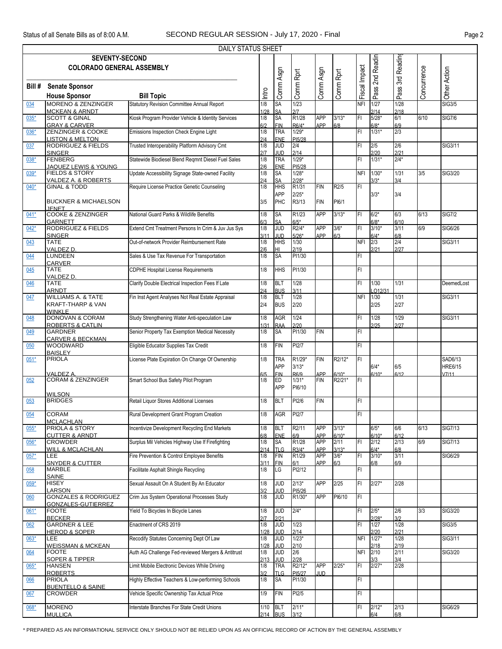|        |                                                                        | <b>DAILY STATUS SHEET</b>                          |             |                          |                            |                          |                    |               |                   |                   |             |                           |
|--------|------------------------------------------------------------------------|----------------------------------------------------|-------------|--------------------------|----------------------------|--------------------------|--------------------|---------------|-------------------|-------------------|-------------|---------------------------|
|        | <b>SEVENTY-SECOND</b><br><b>COLORADO GENERAL ASSEMBLY</b>              |                                                    |             |                          |                            |                          |                    |               | 2nd Readin        | 3rd Reading       |             |                           |
| Bill # | <b>Senate Sponsor</b><br><b>House Sponsor</b>                          | <b>Bill Topic</b>                                  | Intro       | Comm Asgn                | Comm Rprt                  | Comm Asgn                | Comm Rprt          | Fiscal Impact | Pass              | Pass <sup>?</sup> | Concurrence | Other Action              |
| 034    | <b>MORENO &amp; ZENZINGER</b>                                          | <b>Statutory Revision Committee Annual Report</b>  | 1/8         | SA                       | 1/23                       |                          |                    | <b>NFI</b>    | 1/27              | 1/28              |             | <b>SIG3/5</b>             |
| $035*$ | <b>MCKEAN &amp; ARNDT</b><br><b>SCOTT &amp; GINAL</b>                  | Kiosk Program Provider Vehicle & Identity Services | 1/28<br>1/8 | SA<br>SA                 | 217<br>R1/28               | <b>APP</b>               | $3/13*$            | FI            | 2/14<br>$5/28*$   | 2/18<br>6/1       | 6/10        | <b>SIG7/6</b>             |
| $036*$ | <b>GRAY &amp; CARVER</b><br>ZENZINGER & COOKE                          | Emissions Inspection Check Engine Light            | 6/2<br>1/8  | <b>FIN</b><br><b>TRA</b> | R6/4*<br>$1/29*$           | APP                      | 6/8                | FI            | $6/8*$<br>$1/31*$ | 6/9<br>2/3        |             |                           |
| 037    | <b>LISTON &amp; MELTON</b><br><b>RODRIGUEZ &amp; FIELDS</b>            | Trusted Interoperability Platform Advisory Cmt     | 2/4<br>1/8  | ENE<br><b>JUD</b>        | PI5/28<br>2/4              |                          |                    | FI            | 2/5               | 2/6               |             | SIG3/11                   |
|        | <b>SINGER</b>                                                          |                                                    | 2/7         | <b>JUD</b>               | 2/14                       |                          |                    |               | 2/20              | 2/21              |             |                           |
| 038*   | FENBERG<br>JAQUEZ LEWIS & YOUNG                                        | Statewide Biodiesel Blend Reqmnt Diesel Fuel Sales | 1/8<br>2/6  | <b>TRA</b><br>ENE        | $1/29*$<br>PI5/28          |                          |                    | FI            | $1/31*$           | $2/4*$            |             |                           |
| $039*$ | <b>FIELDS &amp; STORY</b><br>VALDEZ A. & ROBERTS                       | Update Accessibility Signage State-owned Facility  | 1/8<br>2/4  | <b>SA</b><br>SA          | $1/28*$<br>$2/28*$         |                          |                    | <b>NFI</b>    | $1/30*$<br>$3/3*$ | 1/31<br>3/4       | 3/5         | SIG3/20                   |
| $040*$ | <b>GINAL &amp; TODD</b>                                                | Require License Practice Genetic Counseling        | 1/8         | <b>HHS</b><br><b>APP</b> | R1/31<br>$2/25*$           | FIN                      | R <sub>2</sub> /5  | FI            | $3/3*$            | 3/4               |             |                           |
|        | <b>BUCKNER &amp; MICHAELSON</b><br><b>JENET</b>                        |                                                    | 3/5         | PHC                      | R3/13                      | <b>FIN</b>               | PI6/1              |               |                   |                   |             |                           |
| $041*$ | <b>COOKE &amp; ZENZINGER</b><br><b>GARNETT</b>                         | National Guard Parks & Wildlife Benefits           | 1/8<br>6/3  | <b>SA</b><br><b>SA</b>   | R1/23<br>$6/5*$            | <b>APP</b>               | $3/13*$            | FI            | $6/2*$<br>$6/8*$  | 6/3<br>6/10       | 6/13        | <b>SIG7/2</b>             |
| $042*$ | <b>RODRIGUEZ &amp; FIELDS</b><br><b>SINGER</b>                         | Extend Cmt Treatment Persons In Crim & Juv Jus Sys | 1/8         | <b>JUD</b>               | R2/4*                      | <b>APP</b><br>APP        | $3/6*$             | FI            | $3/10*$           | 3/11              | 6/9         | SIG6/26                   |
| 043    | <b>TATE</b>                                                            | Out-of-network Provider Reimbursement Rate         | 3/11<br>1/8 | <b>JUD</b><br><b>HHS</b> | $5/26*$<br>1/30            |                          | 6/3                | <b>NFI</b>    | $6/4*$<br>2/3     | 6/8<br>2/4        |             | SIG3/11                   |
| 044    | <b>VALDEZ D</b><br><b>LUNDEEN</b>                                      | Sales & Use Tax Revenue For Transportation         | 2/6<br>1/8  | HI<br>SA                 | 2/19<br>PI1/30             |                          |                    | FI            | 2/21              | 2/27              |             |                           |
| 045    | <b>CARVER</b><br><b>TATE</b>                                           | <b>CDPHE Hospital License Requirements</b>         | 1/8         | <b>HHS</b>               | PI1/30                     |                          |                    | FI            |                   |                   |             |                           |
| 046    | <b>VALDEZ D</b><br><b>TATE</b>                                         | Clarify Double Electrical Inspection Fees If Late  | 1/8         | <b>BLT</b>               | 1/28                       |                          |                    | FI            | 1/30              | 1/31              |             | DeemedLost                |
| 047    | <b>ARNDT</b><br><b>WILLIAMS A. &amp; TATE</b>                          | Fin Inst Agent Analyses Not Real Estate Appraisal  | 2/4<br>1/8  | <b>BUS</b><br><b>BLT</b> | 3/11<br>1/28               |                          |                    | <b>NFI</b>    | LO12/31<br>1/30   | 1/31              |             | SIG3/11                   |
|        | <b>KRAFT-THARP &amp; VAN</b><br><b>WINKLE</b>                          |                                                    | 2/4         | <b>BUS</b>               | 2/20                       |                          |                    |               | 2/25              | 2/27              |             |                           |
| 048    | <b>DONOVAN &amp; CORAM</b><br><b>ROBERTS &amp; CATLIN</b>              | Study Strengthening Water Anti-speculation Law     | 1/8<br>1/31 | <b>AGR</b><br><b>RAA</b> | 1/24<br>2/20               |                          |                    | FI            | 1/28<br>2/25      | 1/29<br>2/27      |             | SIG3/11                   |
| 049    | <b>GARDNER</b><br><b>CARVER &amp; BECKMAN</b>                          | Senior Property Tax Exemption Medical Necessity    | 1/8         | <b>SA</b>                | PI1/30                     | <b>FIN</b>               |                    | FI            |                   |                   |             |                           |
| 050    | <b>WOODWARD</b><br><b>BAISLEY</b>                                      | Eligible Educator Supplies Tax Credit              | 1/8         | <b>FIN</b>               | PI2/7                      |                          |                    | FI            |                   |                   |             |                           |
| $051*$ | <b>PRIOLA</b><br><b>VALDEZ A</b>                                       | License Plate Expiration On Change Of Ownership    | 1/8         | <b>TRA</b><br><b>APP</b> | R1/29*<br>$3/13*$          | <b>FIN</b>               | R2/12*             | FI            | $6/4*$            | 6/5               |             | SAD6/13<br><b>HRE6/15</b> |
| 052    | CORAM & ZENZINGER<br><b>WILSON</b>                                     | Smart School Bus Safety Pilot Program              | 6/5<br>1/8  | ED<br><b>APP</b>         | R6/9<br>$1/31*$<br>PI6/10  | APP<br><b>FIN</b>        | R2/21*             | IFI.          | $6/10*$           | 16/12             |             | V7/11                     |
| 053    | <b>BRIDGES</b>                                                         | Retail Liquor Stores Additional Licenses           | 1/8         | <b>BLT</b>               | PI2/6                      | <b>FIN</b>               |                    | FI.           |                   |                   |             |                           |
| 054    | <b>CORAM</b><br><b>MCLACHLAN</b>                                       | Rural Development Grant Program Creation           | 1/8         | AGR                      | PI2/7                      |                          |                    | FI.           |                   |                   |             |                           |
| $055*$ | PRIOLA & STORY<br><b>CUTTER &amp; ARNDT</b>                            | Incentivize Development Recycling End Markets      | 1/8<br>6/8  | <b>BLT</b><br><b>ENE</b> | R2/11<br>6/9               | <b>APP</b><br>APP        | $3/13*$<br>$6/10*$ |               | $6/5*$<br>$6/10*$ | 6/6<br>6/12       | 6/13        | <b>SIG7/13</b>            |
| $056*$ | <b>CROWDER</b>                                                         | Surplus Mil Vehicles Highway Use If Firefighting   | 1/8         | <b>SA</b>                | R1/28                      | <b>APP</b>               | 2/11               | FI            | 2/12              | 2/13              | 6/9         | <b>SIG7/13</b>            |
| $057*$ | <b>WILL &amp; MCLACHLAN</b><br>LEE                                     | Fire Prevention & Control Employee Benefits        | 2/14<br>1/8 | <b>TLG</b><br>FIN        | R3/4*<br>R <sub>1/29</sub> | <b>APP</b><br><b>APP</b> | $3/13*$<br>$3/6*$  | FI            | $6/4*$<br>$3/10*$ | 6/8<br>3/11       |             | SIG6/29                   |
| 058    | <b>SNYDER &amp; CUTTER</b><br><b>MARBLE</b>                            | Facilitate Asphalt Shingle Recycling               | 3/11<br>1/8 | <b>FIN</b><br>LG         | 6/1<br>PI2/12              | APP                      | 6/3                | FI            | 6/8               | 6/9               |             |                           |
| $059*$ | <b>SAINE</b><br><b>HISEY</b>                                           | Sexual Assault On A Student By An Educator         | 1/8         | <b>JUD</b>               | $2/13*$                    | APP                      | 2/25               | FI            | $2/27*$           | 2/28              |             |                           |
| 060    | LARSON<br><b>GONZALES &amp; RODRIGUEZ</b><br><b>GONZALES-GUTIERREZ</b> | Crim Jus System Operational Processes Study        | 3/2<br>1/8  | <b>JUD</b><br><b>JUD</b> | PI5/26<br>R1/30*           | <b>APP</b>               | PI6/10             | IFI.          |                   |                   |             |                           |
| 061*   | <b>FOOTE</b><br><b>BECKER</b>                                          | Yield To Bicycles In Bicycle Lanes                 | 1/8<br>2/7  | JUD<br>2/21              | $2/4*$                     |                          |                    | FI.           | $2/5*$<br>$2/28*$ | 2/6<br>3/2        | 3/3         | SIG3/20                   |
| 062    | <b>GARDNER &amp; LEE</b>                                               | Enactment of CRS 2019                              | 1/8         | <b>JUD</b>               | 1/23                       |                          |                    | FI            | 1/27              | 1/28              |             | <b>SIG3/5</b>             |
| $063*$ | <b>HEROD &amp; SOPER</b><br>LEE.                                       | Recodify Statutes Concerning Dept Of Law           | 1/28<br>1/8 | JUD<br><b>JUD</b>        | 2/14<br>$1/23*$            |                          |                    | <b>NFI</b>    | 2/20<br>$1/27*$   | 2/21<br>1/28      |             | SIG3/11                   |
| 064    | <b>WEISSMAN &amp; MCKEAN</b><br><b>FOOTE</b>                           | Auth AG Challenge Fed-reviewed Mergers & Antitrust | 1/28<br>1/8 | <b>JUD</b><br><b>JUD</b> | 2/10<br>2/6                |                          |                    | <b>NFI</b>    | 2/18<br>2/10      | 2/19<br>2/11      |             | SIG3/20                   |
| 065*   | <b>SOPER &amp; TIPPER</b><br><b>HANSEN</b>                             | Limit Mobile Electronic Devices While Driving      | 2/13<br>1/8 | <b>JUD</b><br><b>TRA</b> | 2/28<br>R2/12*             | <b>APP</b>               | $2/25*$            | FI            | 3/3<br>$2/27*$    | 3/4<br>2/28       |             |                           |
| 066    | <b>ROBERTS</b><br><b>PRIOLA</b>                                        | Highly Effective Teachers & Low-performing Schools | 3/2<br>1/8  | <b>TLG</b><br>SA         | PI5/27<br>PI1/30           | IUD.                     |                    | FL            |                   |                   |             |                           |
| 067    | <b>BUENTELLO &amp; SAINE</b><br><b>CROWDER</b>                         | Vehicle Specific Ownership Tax Actual Price        | 1/9         | FIN                      | PI2/5                      |                          |                    | FI.           |                   |                   |             |                           |
| 068*   | <b>MORENO</b>                                                          | Interstate Branches For State Credit Unions        | 1/10        | BLT                      | $2/11*$                    |                          |                    | FI            | $2/12*$           | 2/13              |             | SIG6/29                   |
|        | <b>MULLICA</b>                                                         |                                                    |             | $2/14$ BUS               | 3/12                       |                          |                    |               | 6/4               | 6/8               |             |                           |

\* PREPARED AS AN INFORMATIONAL SERVICE ONLY SHOULD NOT BE RELIED UPON AS AN OFFICIAL RECORD OF ACTION BY THE GENERAL ASSEMBLY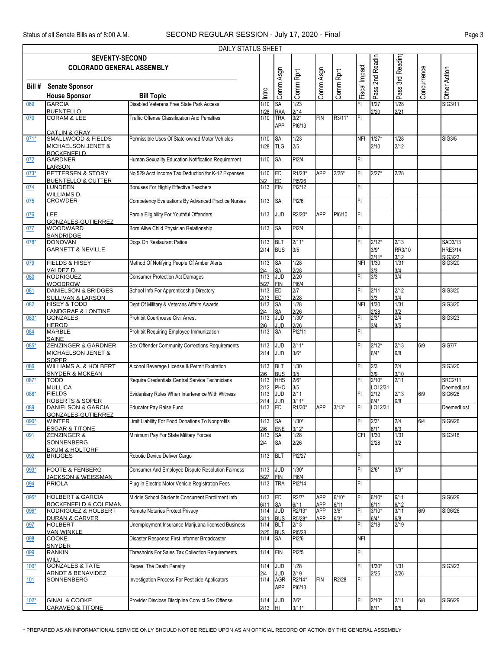|        |                                                                | DAILY STATUS SHEET                                  |              |                          |                   |                          |                 |               |                   |                  |             |                           |
|--------|----------------------------------------------------------------|-----------------------------------------------------|--------------|--------------------------|-------------------|--------------------------|-----------------|---------------|-------------------|------------------|-------------|---------------------------|
|        | <b>SEVENTY-SECOND</b>                                          |                                                     |              |                          |                   |                          |                 |               | Pass 2nd Readin   |                  |             |                           |
|        | <b>COLORADO GENERAL ASSEMBLY</b>                               |                                                     |              |                          |                   |                          |                 | Fiscal Impact |                   | 3rd Readin       |             |                           |
|        |                                                                |                                                     |              | Comm Asgn                | Comm Rprt         | Comm Asgn                | Comm Rprt       |               |                   |                  | Concurrence | Other Action              |
| Bill # | <b>Senate Sponsor</b><br><b>House Sponsor</b>                  | <b>Bill Topic</b>                                   | Intro        |                          |                   |                          |                 |               |                   | Pass ?           |             |                           |
| 069    | <b>GARCIA</b>                                                  | Disabled Veterans Free State Park Access            | 1/10         | SA                       | 1/23              |                          |                 | FI            | 1/27              | 1/28             |             | SIG3/11                   |
|        | <b>BUENTELLO</b>                                               |                                                     | 1/28         | <b>RAA</b>               | 2/14              |                          |                 |               | 2/20              | 2/21             |             |                           |
| 070    | <b>CORAM &amp; LEE</b>                                         | <b>Traffic Offense Classification And Penalties</b> | $1/10$       | <b>TRA</b><br><b>APP</b> | $3/2*$<br>PI6/13  | <b>FIN</b>               | R3/11*          | FI            |                   |                  |             |                           |
|        | <b>CATLIN &amp; GRAY</b>                                       |                                                     |              |                          |                   |                          |                 |               |                   |                  |             |                           |
| $071*$ | <b>SMALLWOOD &amp; FIELDS</b><br><b>MICHAELSON JENET &amp;</b> | Permissible Uses Of State-owned Motor Vehicles      | 1/10<br>1/28 | SA<br><b>TLG</b>         | 1/23<br>2/5       |                          |                 | <b>NFI</b>    | $1/27*$<br>2/10   | 1/28<br>2/12     |             | <b>SIG3/5</b>             |
|        | <b>BOCKENFELD</b>                                              |                                                     |              |                          |                   |                          |                 |               |                   |                  |             |                           |
| 072    | <b>GARDNER</b><br>LARSON                                       | Human Sexuality Education Notification Requirement  | 1/10         | <b>SA</b>                | PI2/4             |                          |                 | FI.           |                   |                  |             |                           |
| $073*$ | PETTERSEN & STORY                                              | No 529 Acct Income Tax Deduction for K-12 Expenses  | $1/10$       | ED                       | R1/23*            | <b>APP</b>               | $2/25*$         | FI            | $2/27*$           | 2/28             |             |                           |
| 074    | <b>BUENTELLO &amp; CUTTER</b><br><b>LUNDEEN</b>                | Bonuses For Highly Effective Teachers               | 3/2<br>1/13  | <b>ED</b><br>FIN         | PI5/26<br>PI2/12  |                          |                 | FI.           |                   |                  |             |                           |
|        | <b>WILLIAMS D.</b>                                             |                                                     |              |                          |                   |                          |                 |               |                   |                  |             |                           |
| 075    | <b>CROWDER</b>                                                 | Competency Evaluations By Advanced Practice Nurses  | 1/13         | <b>SA</b>                | PI2/6             |                          |                 | FI.           |                   |                  |             |                           |
| 076    | LEE                                                            | Parole Eligibility For Youthful Offenders           | 1/13         | <b>JUD</b>               | R2/20*            | <b>APP</b>               | PI6/10          | FI            |                   |                  |             |                           |
| 077    | GONZALES-GUTIERREZ<br><b>WOODWARD</b>                          | Born Alive Child Physician Relationship             | 1/13         | <b>SA</b>                | PI2/4             |                          |                 | FI.           |                   |                  |             |                           |
|        | <b>SANDRIDGE</b>                                               |                                                     |              |                          |                   |                          |                 |               |                   |                  |             |                           |
| $078*$ | <b>DONOVAN</b><br><b>GARNETT &amp; NEVILLE</b>                 | Dogs On Restaurant Patios                           | 1/13<br>2/14 | <b>BLT</b><br><b>BUS</b> | $2/11*$<br>3/5    |                          |                 | FI            | $2/12*$<br>$3/9*$ | 2/13<br>RR3/10   |             | SAD3/13<br><b>HRE3/14</b> |
|        |                                                                |                                                     |              |                          |                   |                          |                 |               | $3/11*$           | 3/12             |             | SIG3/23                   |
| 079    | FIELDS & HISEY<br>VALDEZ D.                                    | Method Of Notifying People Of Amber Alerts          | 1/13<br>2/4  | <b>SA</b><br><b>SA</b>   | 1/28<br>2/28      |                          |                 | <b>NFI</b>    | 1/30<br>3/3       | 1/31<br>3/4      |             | SIG3/20                   |
| 080    | <b>RODRIGUEZ</b>                                               | <b>Consumer Protection Act Damages</b>              | 1/13         | <b>JUD</b>               | 2/20              |                          |                 | FI.           | 3/3               | $\overline{3}/4$ |             |                           |
| 081    | <b>WOODROW</b><br><b>DANIELSON &amp; BRIDGES</b>               | School Info For Apprenticeship Directory            | 5/27<br>1/13 | <b>FIN</b><br>ED         | PI6/4<br>2/7      |                          |                 | FI            | 2/11              | 2/12             |             | SIG3/20                   |
|        | <b>SULLIVAN &amp; LARSON</b>                                   |                                                     | 2/13         | <b>ED</b>                | 2/28              |                          |                 |               | 3/3               | 3/4              |             |                           |
| 082    | <b>HISEY &amp; TODD</b><br><b>LANDGRAF &amp; LONTINE</b>       | Dept Of Military & Veterans Affairs Awards          | 1/13         | <b>SA</b>                | 1/28<br>2/26      |                          |                 | <b>NFI</b>    | 1/30<br>2/28      | 1/31             |             | SIG3/20                   |
| 083*   | <b>GONZALES</b>                                                | Prohibit Courthouse Civil Arrest                    | 2/4<br>1/13  | <b>SA</b><br><b>JUD</b>  | $1/30*$           |                          |                 | FI            | $2/3*$            | 3/2<br>2/4       |             | SIG3/23                   |
| 084    | <b>HEROD</b><br><b>MARBLE</b>                                  | Prohibit Requiring Employee Immunization            | 2/6<br>1/13  | JUD<br><b>SA</b>         | 2/26<br>PI2/11    |                          |                 | FI            | 3/4               | 3/5              |             |                           |
|        | <b>SAINE</b>                                                   |                                                     |              |                          |                   |                          |                 |               |                   |                  |             |                           |
| 085*   | <b>ZENZINGER &amp; GARDNER</b>                                 | Sex Offender Community Corrections Requirements     | 1/13         | <b>JUD</b>               | $2/11*$           |                          |                 | FI.           | $2/12*$           | 2/13             | 6/9         | <b>SIG7/7</b>             |
|        | <b>MICHAELSON JENET &amp;</b><br><b>SOPER</b>                  |                                                     | 2/14         | <b>JUD</b>               | $3/6*$            |                          |                 |               | $6/4*$            | 6/8              |             |                           |
| 086    | <b>WILLIAMS A. &amp; HOLBERT</b>                               | Alcohol Beverage License & Permit Expiration        | 1/13         | BLT                      | $1/30$            |                          |                 | FI            | 2/3               | 2/4              |             | SIG3/20                   |
| 087*   | <b>SNYDER &amp; MCKEAN</b><br>TODD                             | Require Credentials Central Service Technicians     | 2/6<br>1/13  | <b>BUS</b><br><b>HHS</b> | 3/5<br>$2/6*$     |                          |                 | FI.           | $2/10*$           | 3/10<br>2/11     |             | <b>SRC2/11</b>            |
|        | <b>MULLICA</b><br><b>FIELDS</b>                                | Evidentiary Rules When Interference With Witness    | 2/12<br>1/13 | <b>PHC</b><br><b>JUD</b> | 3/5<br>2/11       |                          |                 | FI            | 012/31<br>2/12    | 2/13             | 6/9         | DeemedLost<br>SIG6/26     |
| 088*   | <b>ROBERTS &amp; SOPER</b>                                     |                                                     | 2/14         | <b>JUD</b>               | $3/11*$           |                          |                 |               | $6/4*$            | 6/8              |             |                           |
| 089    | DANIELSON & GARCIA                                             | Educator Pay Raise Fund                             | 1/13         | ED                       | R1/30*            | <b>APP</b>               | $3/13*$         | FI            | LO12/31           |                  |             | DeemedLost                |
| $090*$ | GONZALES-GUTIERREZ<br><b>WINTER</b>                            | Limit Liability For Food Donations To Nonprofits    | 1/13         | <b>SA</b>                | $1/30*$           |                          |                 | FI            | $2/3*$            | 2/4              | 6/4         | <b>SIG6/26</b>            |
|        | <b>ESGAR &amp; TITONE</b><br><b>ZENZINGER &amp;</b>            | Minimum Pay For State Military Forces               | 2/6<br>1/13  | ENE<br><b>SA</b>         | $3/12*$<br>1/28   |                          |                 | CFI           | $6/1*$<br>1/30    | 6/3<br>1/31      |             | <b>SIG3/18</b>            |
| 091    | SONNENBERG                                                     |                                                     | 2/4          | <b>SA</b>                | 2/26              |                          |                 |               | 2/28              | 3/2              |             |                           |
|        | <b>EXUM &amp; HOLTORF</b>                                      | Robotic Device Deliver Cargo                        | 1/13         | <b>BLT</b>               | PI2/27            |                          |                 | FI.           |                   |                  |             |                           |
| 092    | <b>BRIDGES</b>                                                 |                                                     |              |                          |                   |                          |                 |               |                   |                  |             |                           |
| 093*   | <b>FOOTE &amp; FENBERG</b>                                     | Consumer And Employee Dispute Resolution Fairness   | 1/13         | <b>JUD</b>               | $1/30*$           |                          |                 | FI.           | $2/6*$            | $3/9*$           |             |                           |
| 094    | <b>JACKSON &amp; WEISSMAN</b><br><b>PRIOLA</b>                 | Plug-in Electric Motor Vehicle Registration Fees    | 5/27<br>1/13 | <b>FIN</b><br><b>TRA</b> | PI6/4<br>PI2/14   |                          |                 | FI.           |                   |                  |             |                           |
|        |                                                                |                                                     |              |                          |                   |                          |                 | FI.           |                   |                  |             |                           |
| 095*   | <b>HOLBERT &amp; GARCIA</b><br><b>BOCKENFELD &amp; COLEMAN</b> | Middle School Students Concurrent Enrollment Info   | 1/13<br>6/11 | ED<br><b>SA</b>          | R2/7*<br>6/11     | <b>APP</b><br><b>APP</b> | $6/10*$<br>6/11 |               | $6/10*$<br>6/11   | 6/11<br>6/12     |             | SIG6/29                   |
| 096*   | <b>RODRIGUEZ &amp; HOLBERT</b>                                 | Remote Notaries Protect Privacy                     | 1/14         | <b>JUD</b>               | R2/13*            | <b>APP</b>               | $3/6*$          | FI            | $3/10*$           | 3/11             | 6/9         | <b>SIG6/26</b>            |
| 097    | <b>DURAN &amp; CARVER</b><br><b>HOLBERT</b>                    | Unemployment Insurance Marijuana-licensed Business  | 3/11<br>1/14 | <b>BUS</b><br><b>BLT</b> | R5/28*<br>2/13    | APP                      | $6/3*$          | FI.           | $6/4*$<br>2/18    | 6/8<br>2/19      |             |                           |
|        | <b>VAN WINKLE</b>                                              |                                                     | 2/25         | <b>BUS</b>               | PI5/28            |                          |                 |               |                   |                  |             |                           |
| 098    | COOKE<br><b>SNYDER</b>                                         | Disaster Response First Informer Broadcaster        | 1/14         | <b>SA</b>                | PI2/6             |                          |                 | <b>NFI</b>    |                   |                  |             |                           |
| 099    | <b>RANKIN</b>                                                  | Thresholds For Sales Tax Collection Requirements    | 1/14         | <b>FIN</b>               | PI2/5             |                          |                 | FI            |                   |                  |             |                           |
| $100*$ | WILL<br><b>GONZALES &amp; TATE</b>                             | Repeal The Death Penalty                            | 1/14         | <b>JUD</b>               | 1/28              |                          |                 | FI            | $1/30*$           | 1/31             |             | SIG3/23                   |
|        | <b>ARNDT &amp; BENAVIDEZ</b>                                   |                                                     | 2/4          | <b>JUD</b>               | 2/19              |                          |                 |               | 2/25              | 2/26             |             |                           |
| 101    | SONNENBERG                                                     | Investigation Process For Pesticide Applicators     | 1/14         | <b>AGR</b><br>APP        | R2/14*<br>PI6/13  | <b>FIN</b>               | R2/28           | FI            |                   |                  |             |                           |
|        |                                                                |                                                     |              |                          |                   |                          |                 |               |                   |                  |             |                           |
| $102*$ | <b>GINAL &amp; COOKE</b><br><b>CARAVEO &amp; TITONE</b>        | Provider Disclose Discipline Convict Sex Offense    | 1/14<br>2/13 | <b>JUD</b><br>Iнг        | $2/6*$<br>$3/11*$ |                          |                 | FI            | $2/10*$<br>$6/1*$ | 2/11<br>6/5      | 6/8         | SIG6/29                   |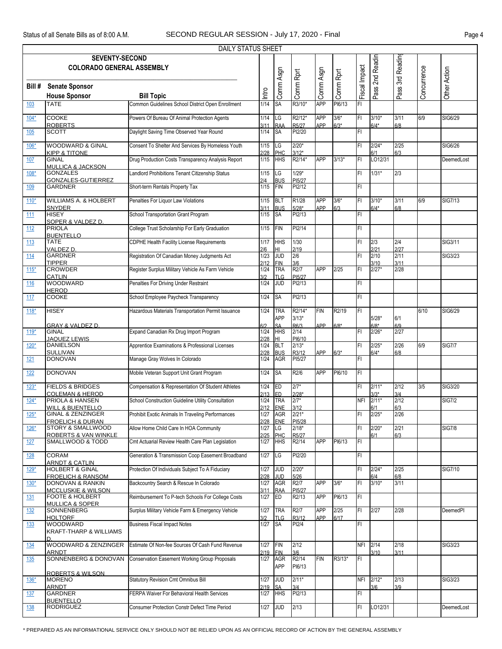|            |                                                              | <b>DAILY STATUS SHEET</b>                            |                   |                          |                             |                   |               |               |                   |                  |             |                |
|------------|--------------------------------------------------------------|------------------------------------------------------|-------------------|--------------------------|-----------------------------|-------------------|---------------|---------------|-------------------|------------------|-------------|----------------|
|            | <b>SEVENTY-SECOND</b><br><b>COLORADO GENERAL ASSEMBLY</b>    |                                                      |                   |                          |                             |                   |               |               | Pass 2nd Readin   | Pass 3rd Reading |             |                |
| Bill #     | <b>Senate Sponsor</b><br><b>House Sponsor</b>                | <b>Bill Topic</b>                                    | Intro             | Comm Asgn                | Comm Rprt                   | Comm Asgn         | Comm Rprt     | Fiscal Impact |                   |                  | Concurrence | Other Action   |
| 103        | <b>TATE</b>                                                  | Common Guidelines School District Open Enrollment    | 1/14              | <b>SA</b>                | R3/10*                      | <b>APP</b>        | PI6/13        | FI            |                   |                  |             |                |
| $104*$     | <b>COOKE</b>                                                 | Powers Of Bureau Of Animal Protection Agents         | 1/14              | LG                       | R2/12*                      | <b>APP</b>        | $3/6*$        | FI            | $3/10*$           | 3/11             | 6/9         | SIG6/29        |
| 105        | <b>ROBERTS</b><br><b>SCOTT</b>                               | Daylight Saving Time Observed Year Round             | 3/11<br>1/14      | <b>RAA</b><br><b>SA</b>  | R5/27<br>PI2/20             | APP               | $6/3*$        | FI            | $6/4*$            | 6/8              |             |                |
| $106*$     | <b>WOODWARD &amp; GINAL</b><br><b>KIPP &amp; TITONE</b>      | Consent To Shelter And Services By Homeless Youth    | 1/15              | LG<br>PHC                | $2/20*$<br>$3/12*$          |                   |               | FI            | $2/24*$<br>6/1    | 2/25<br>6/3      |             | SIG6/26        |
| 107        | <b>GINAL</b><br><b>MULLICA &amp; JACKSON</b>                 | Drug Production Costs Transparency Analysis Report   | 2/28<br>1/15      | <b>HHS</b>               | R2/14*                      | <b>APP</b>        | $3/13*$       | FI            | LO12/31           |                  |             | DeemedLost     |
| $108*$     | <b>GONZALES</b><br><b>GONZALES-GUTIERREZ</b>                 | Landlord Prohibitions Tenant Citizenship Status      | 1/15<br>2/4       | LG<br><b>BUS</b>         | $1/29*$<br>PI5/27           |                   |               | FI            | $1/31*$           | 2/3              |             |                |
| 109        | <b>GARDNER</b>                                               | Short-term Rentals Property Tax                      | $1/15$            | <b>FIN</b>               | PI2/12                      |                   |               | FI            |                   |                  |             |                |
| $110*$     | <b>WILLIAMS A. &amp; HOLBERT</b><br><b>SNYDER</b>            | Penalties For Liquor Law Violations                  | 1/15              | <b>BLT</b><br><b>BUS</b> | R1/28                       | <b>APP</b><br>APP | $3/6*$<br>6/3 | FI            | $3/10*$<br>$6/4*$ | 3/11<br>6/8      | 6/9         | <b>SIG7/13</b> |
| 111        | <b>HISEY</b><br>SOPER & VALDEZ D.                            | School Transportation Grant Program                  | 3/11<br>1/15      | <b>SA</b>                | $5/28*$<br>PI2/13           |                   |               | FI            |                   |                  |             |                |
| 112        | <b>PRIOLA</b><br><b>BUENTELLO</b>                            | College Trust Scholarship For Early Graduation       | 1/15              | <b>FIN</b>               | PI2/14                      |                   |               | FI            |                   |                  |             |                |
| 113        | <b>TATE</b>                                                  | <b>CDPHE Health Facility License Requirements</b>    | 1/17              | <b>HHS</b>               | 1/30                        |                   |               | FI.           | 2/3               | 2/4              |             | SIG3/11        |
| 114        | <b>VALDEZ D</b><br><b>GARDNER</b>                            | Registration Of Canadian Money Judgments Act         | 2/6<br>1/23       | HI<br><b>JUD</b>         | 2/19<br>2/6                 |                   |               | FI            | 2/21<br>2/10      | 2/27<br>2/11     |             | SIG3/23        |
| $115*$     | <b>TIPPER</b><br><b>CROWDER</b>                              | Register Surplus Military Vehicle As Farm Vehicle    | 2/12<br>1/24      | <b>FIN</b><br><b>TRA</b> | 3/6<br>R2/7                 | <b>APP</b>        | 2/25          | FI            | 3/10<br>$2/27*$   | 3/11<br>2/28     |             |                |
| <b>116</b> | <b>CATLIN</b><br>WOODWARD                                    | Penalties For Driving Under Restraint                | 3/2<br>1/24       | <b>TLG</b><br><b>JUD</b> | PI5/27<br>PI2/13            |                   |               | FI            |                   |                  |             |                |
| 117        | <b>HEROD</b><br><b>COOKE</b>                                 | School Employee Paycheck Transparency                | 1/24              | SA                       | PI2/13                      |                   |               | FI.           |                   |                  |             |                |
| $118*$     | <b>HISEY</b>                                                 | Hazardous Materials Transportation Permit Issuance   | 1/24              | <b>TRA</b><br><b>APP</b> | R2/14*<br>$3/13*$           | <b>FIN</b>        | R2/19         | IFI           | $5/28*$           | 6/1              | 6/10        | SIG6/29        |
|            | <b>GRAY &amp; VALDEZ D.</b><br><b>GINAL</b>                  |                                                      | 6/2               | <b>SA</b>                | R6/3                        | APP               | $6/8*$        |               | $6/8*$            | 6/9              |             |                |
| $119*$     | <b>JAQUEZ LEWIS</b>                                          | Expand Canadian Rx Drug Import Program               | 1/24<br>2/28      | <b>HHS</b><br>HL         | 2/14<br>PI6/10              |                   |               | FI            | $2/26*$           | 2/27             |             |                |
| $120*$     | <b>DANIELSON</b><br><b>SULLIVAN</b>                          | Apprentice Examinations & Professional Licenses      | 1/24<br>2/28      | <b>BLT</b><br><b>BUS</b> | $2/13*$<br>R3/12            | APP               | $6/3*$        | FI            | $2/25*$<br>$6/4*$ | 2/26<br>6/8      | 6/9         | <b>SIG7/7</b>  |
| 121        | <b>DONOVAN</b>                                               | Manage Gray Wolves In Colorado                       | 1/24              | <b>AGR</b>               | PI5/27                      |                   |               | FI.           |                   |                  |             |                |
| 122        | DONOVAN                                                      | Mobile Veteran Support Unit Grant Program            | $1/24$ SA         |                          | R2/6                        | APP               | PI6/10        | F             |                   |                  |             |                |
| $123*$     | <b>FIELDS &amp; BRIDGES</b><br><b>COLEMAN &amp; HEROD</b>    | Compensation & Representation Of Student Athletes    | 1/24<br>$2/13$ ED | <b>ED</b>                | $2/7*$<br>$2/28*$           |                   |               | FI.           | $2/11*$<br>$3/3*$ | 2/12<br>3/4      | 3/5         | SIG3/20        |
| $124*$     | PRIOLA & HANSEN<br><b>WILL &amp; BUENTELLO</b>               | School Construction Guideline Utility Consultation   | 1/24<br>2/12      | <b>TRA</b><br><b>ENE</b> | $2/7*$<br>3/12              |                   |               |               | NFI 2/11*<br>6/1  | 2/12<br>6/3      |             | <b>SIG7/2</b>  |
| $125*$     | <b>GINAL &amp; ZENZINGER</b><br><b>FROELICH &amp; DURAN</b>  | Prohibit Exotic Animals In Traveling Performances    | 1/27<br>2/28      | <b>AGR</b><br><b>ENE</b> | $2/21*$<br>PI5/28           |                   |               | FI            | $2/25*$           | 2/26             |             |                |
| $126*$     | <b>STORY &amp; SMALLWOOD</b><br>ROBERTS & VAN WINKLE         | Allow Home Child Care In HOA Community               | 1/27<br>2/25      | LG<br>PHC                | $2/18*$<br>R5/27            |                   |               | FI            | $2/20*$<br>6/1    | 2/21<br>6/3      |             | <b>SIG7/8</b>  |
| <u>127</u> | SMALLWOOD & TODD                                             | Cmt Actuarial Review Health Care Plan Legislation    | 1/27              | <b>HHS</b>               | R2/14                       | <b>APP</b>        | PI6/13        | FI            |                   |                  |             |                |
| <u>128</u> | <b>CORAM</b><br><b>ARNDT &amp; CATLIN</b>                    | Generation & Transmission Coop Easement Broadband    | 1/27              | LG                       | PI2/20                      |                   |               | FI.           |                   |                  |             |                |
| $129*$     | <b>HOLBERT &amp; GINAL</b><br><b>FROELICH &amp; RANSOM</b>   | Protection Of Individuals Subject To A Fiduciary     | 1/27<br>2/28      | <b>JUD</b><br><b>JUD</b> | $2/20*$<br>5/26             |                   |               | FI            | $2/24*$<br>6/4    | 2/25<br>6/8      |             | SIG7/10        |
| $130*$     | DONOVAN & RANKIN<br><b>MCCLUSKIE &amp; WILSON</b>            | Backcountry Search & Rescue In Colorado              | 1/27<br>3/11      | <b>AGR</b><br><b>RAA</b> | R <sub>2</sub> /7<br>PI5/27 | <b>APP</b>        | $3/6*$        | FI            | $3/10*$           | 3/11             |             |                |
| <u>131</u> | <b>FOOTE &amp; HOLBERT</b><br><b>MULLICA &amp; SOPER</b>     | Reimbursement To P-tech Schools For College Costs    | 1/27              | <b>ED</b>                | R2/13                       | <b>APP</b>        | PI6/13        | IFI.          |                   |                  |             |                |
| <u>132</u> | SONNENBERG<br><b>HOLTORF</b>                                 | Surplus Military Vehicle Farm & Emergency Vehicle    | 1/27<br>3/2       | <b>TRA</b><br><b>TLG</b> | R <sub>2</sub> /7<br>R3/12  | APP<br>APP        | 2/25<br>6/17  | FI            | 2/27              | 2/28             |             | DeemedPI       |
| 133        | <b>WOODWARD</b><br><b>KRAFT-THARP &amp; WILLIAMS</b>         | <b>Business Fiscal Impact Notes</b>                  | 1/27              | <b>SA</b>                | PI2/4                       |                   |               | FI.           |                   |                  |             |                |
| 134        | WOODWARD & ZENZINGER<br><b>ARNDT</b>                         | Estimate Of Non-fee Sources Of Cash Fund Revenue     | 1/27<br>2/19      | <b>FIN</b><br><b>FIN</b> | 2/12<br>3/6                 |                   |               | <b>NFI</b>    | 2/14<br>3/10      | 2/18<br>3/11     |             | <b>SIG3/23</b> |
| 135        | SONNENBERG & DONOVAN                                         | <b>Conservation Easement Working Group Proposals</b> | 1/27              | <b>AGR</b><br>APP        | R2/14<br>PI6/13             | <b>FIN</b>        | R3/13*        | FL            |                   |                  |             |                |
| $136*$     | <b>ROBERTS &amp; WILSON</b><br><b>MORENO</b><br><b>ARNDT</b> | Statutory Revision Cmt Omnibus Bill                  | 1/27              | <b>JUD</b><br><b>SA</b>  | $2/11*$<br>3/4              |                   |               |               | NFI 2/12*<br>3/6  | 2/13             |             | SIG3/23        |
| 137        | <b>GARDNER</b><br><b>BUENTELLO</b>                           | FERPA Waiver For Behavioral Health Services          | 2/19<br>1/27      | <b>HHS</b>               | PI2/13                      |                   |               | FI            |                   | 3/9              |             |                |
| <u>138</u> | <b>RODRIGUEZ</b>                                             | Consumer Protection Constr Defect Time Period        | 1/27              | <b>JUD</b>               | 2/13                        |                   |               | FI.           | LO12/31           |                  |             | DeemedLost     |

\* PREPARED AS AN INFORMATIONAL SERVICE ONLY SHOULD NOT BE RELIED UPON AS AN OFFICIAL RECORD OF ACTION BY THE GENERAL ASSEMBLY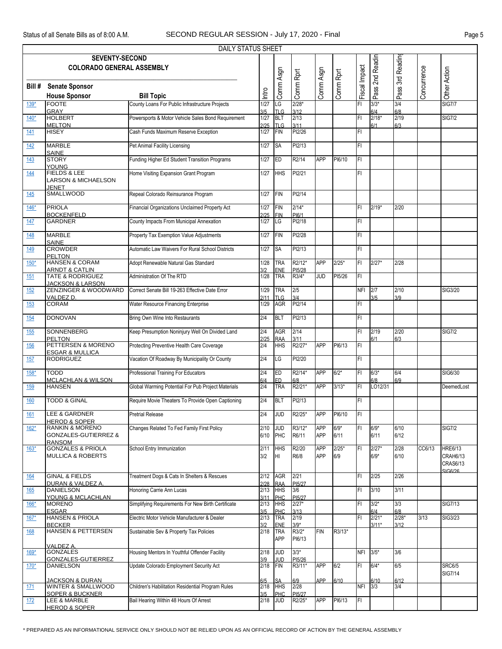|            |                                                                           | DAILY STATUS SHEET                                 |              |                                 |                  |            |                |               |                    |                 |             |                                                          |
|------------|---------------------------------------------------------------------------|----------------------------------------------------|--------------|---------------------------------|------------------|------------|----------------|---------------|--------------------|-----------------|-------------|----------------------------------------------------------|
|            | <b>SEVENTY-SECOND</b><br><b>COLORADO GENERAL ASSEMBLY</b>                 |                                                    |              |                                 |                  |            |                |               | 2nd Readin         | 3rd Readin      |             |                                                          |
| Bill #     | <b>Senate Sponsor</b><br><b>House Sponsor</b>                             | <b>Bill Topic</b>                                  | Intro        | Comm Asgn                       | Comm Rprt        | Comm Asgn  | Comm Rprt      | Fiscal Impact | Pass'              | Pass :          | Concurrence | Other Action                                             |
| $139*$     | <b>FOOTE</b>                                                              | County Loans For Public Infrastructure Projects    | 1/27         | LG                              | $2/28*$          |            |                | FI            | $3/3*$             | 3/4             |             | <b>SIG7/7</b>                                            |
| $140*$     | <b>GRAY</b><br><b>HOLBERT</b>                                             | Powersports & Motor Vehicle Sales Bond Requirement | 3/5<br>1/27  | <b>TLG</b><br><b>BLT</b>        | 3/12<br>2/13     |            |                | FI            | 6/4<br>$2/18*$     | 6/8<br>2/19     |             | <b>SIG7/2</b>                                            |
| 141        | <b>MELTON</b><br><b>HISEY</b>                                             | Cash Funds Maximum Reserve Exception               | 2/25<br>1/27 | <b>TLG</b><br>FIN               | 3/11<br>PI2/26   |            |                | FI            | 6/1                | 6/3             |             |                                                          |
|            |                                                                           |                                                    |              |                                 |                  |            |                |               |                    |                 |             |                                                          |
| 142        | <b>MARBLE</b><br><b>SAINE</b>                                             | Pet Animal Facility Licensing                      | 1/27         | <b>SA</b>                       | PI2/13           |            |                | FI            |                    |                 |             |                                                          |
| 143        | <b>STORY</b><br><b>YOUNG</b>                                              | Funding Higher Ed Student Transition Programs      | 1/27         | <b>IED</b>                      | R2/14            | <b>APP</b> | PI6/10         | IFL           |                    |                 |             |                                                          |
| 144        | <b>FIELDS &amp; LEE</b><br><b>LARSON &amp; MICHAELSON</b><br><b>JENET</b> | Home Visiting Expansion Grant Program              | 1/27         | <b>HHS</b>                      | PI2/21           |            |                | FI            |                    |                 |             |                                                          |
| 145        | <b>SMALLWOOD</b>                                                          | Repeal Colorado Reinsurance Program                | 1/27         | FIN                             | PI2/14           |            |                |               |                    |                 |             |                                                          |
| $146*$     | <b>PRIOLA</b>                                                             | Financial Organizations Unclaimed Property Act     | 1/27         | FIN                             | $2/14*$          |            |                | FI            | $2/19*$            | 2/20            |             |                                                          |
| 147        | <b>BOCKENFELD</b><br><b>GARDNER</b>                                       | County Impacts From Municipal Annexation           | 2/25<br>1/27 | <b>FIN</b><br>LG                | PI6/1<br>PI2/18  |            |                | FI            |                    |                 |             |                                                          |
| 148        | <b>MARBLE</b>                                                             | Property Tax Exemption Value Adjustments           | 1/27         | FIN                             | PI2/28           |            |                | FI            |                    |                 |             |                                                          |
| 149        | <b>SAINE</b><br><b>CROWDER</b>                                            | Automatic Law Waivers For Rural School Districts   | 1/27         | SA                              | PI2/13           |            |                | FI            |                    |                 |             |                                                          |
| $150*$     | PELTON<br><b>HANSEN &amp; CORAM</b>                                       | Adopt Renewable Natural Gas Standard               | 1/28         | <b>TRA</b>                      | R2/12*           | <b>APP</b> | $2/25*$        | IF۱           | $2/27*$            | 2/28            |             |                                                          |
|            | <b>ARNDT &amp; CATLIN</b><br><b>TATE &amp; RODRIGUEZ</b>                  |                                                    | 312          | <b>ENE</b><br><b>TRA</b>        | PI5/28<br>R3/4*  |            |                | FI            |                    |                 |             |                                                          |
| 151        | <b>JACKSON &amp; LARSON</b>                                               | Administration Of The RTD                          | 1/28         |                                 |                  | <b>JUD</b> | PI5/26         |               |                    |                 |             |                                                          |
| 152        | ZENZINGER & WOODWARD<br>VALDEZ D.                                         | Correct Senate Bill 19-263 Effective Date Error    | 1/29<br>2/11 | <b>TRA</b><br><b>TLG</b>        | 2/5<br>3/4       |            |                | NFI           | 2/7<br>3/5         | 2/10<br>3/9     |             | SIG3/20                                                  |
| 153        | <b>CORAM</b>                                                              | Water Resource Financing Enterprise                | 1/29         | AGR                             | PI2/14           |            |                | FI            |                    |                 |             |                                                          |
| 154        | <b>DONOVAN</b>                                                            | Bring Own Wine Into Restaurants                    | 2/4          | <b>BLT</b>                      | PI2/13           |            |                | FI            |                    |                 |             |                                                          |
| 155        | <b>SONNENBERG</b><br><b>PELTON</b>                                        | Keep Presumption Noninjury Well On Divided Land    | 2/4<br>2/25  | <b>AGR</b><br><b>RAA</b>        | 2/14<br>3/11     |            |                | FI            | 2/19<br>6/1        | 2/20<br>6/3     |             | <b>SIG7/2</b>                                            |
| 156        | PETTERSEN & MORENO<br><b>ESGAR &amp; MULLICA</b>                          | Protecting Preventive Health Care Coverage         | 2/4          | <b>HHS</b>                      | R2/27*           | <b>APP</b> | PI6/13         | IFL           |                    |                 |             |                                                          |
| 157        | <b>RODRIGUEZ</b>                                                          | Vacation Of Roadway By Municipality Or County      | 2/4          | LG                              | PI2/20           |            |                | FI            |                    |                 |             |                                                          |
| $158*$     | <b>TODD</b><br><b>MCLACHLAN &amp; WILSON</b>                              | Professional Training For Educators                | 2/4<br>6/4   | ED<br><b>IED</b>                | R2/14*<br>6/8    | $APP 6/2*$ |                | FI            | $6/3*$<br>6/8      | 6/4<br>6/9      |             | SIG6/30                                                  |
| 159        | <b>HANSEN</b>                                                             | Global Warming Potential For Pub Project Materials | 2/4          | <b>TRA</b>                      | R2/21*           | <b>APP</b> | $3/13*$        | IF۱           | LO12/31            |                 |             | DeemedLost                                               |
| 160        | <b>TODD &amp; GINAL</b>                                                   | Require Movie Theaters To Provide Open Captioning  | 2/4          | <b>BLT</b>                      | PI2/13           |            |                | FI            |                    |                 |             |                                                          |
| 161        | LEE & GARDNER                                                             | <b>Pretrial Release</b>                            | 2/4          | <b>JUD</b>                      | R2/25*           | APP        | PI6/10         | IFI.          |                    |                 |             |                                                          |
| $162*$     | <b>HEROD &amp; SOPER</b><br><b>RANKIN &amp; MORENO</b>                    | Changes Related To Fed Family First Policy         | 2/10         | <b>JUD</b>                      | R3/12*           | <b>APP</b> | $6/9*$         | FI            | $6/9*$             | 6/10            |             | <b>SIG7/2</b>                                            |
|            | <b>GONZALES-GUTIERREZ &amp;</b><br><b>RANSOM</b>                          |                                                    | 6/10         | PHC                             | R6/11            | APP        | 6/11           |               | 6/11               | 6/12            |             |                                                          |
| $163*$     | <b>GONZALES &amp; PRIOLA</b><br><b>MULLICA &amp; ROBERTS</b>              | School Entry Immunization                          | 2/11<br>3/2  | <b>HHS</b><br>HI.               | R2/20<br>R6/8    | APP<br>APP | $2/25*$<br>6/9 | IΕΙ           | $2/27*$<br>$6/9*$  | 2/28<br>6/10    | CC6/13      | <b>HRE6/13</b><br>CRAH6/13<br><b>CRAS6/13</b><br>2012012 |
| 164        | <b>GINAL &amp; FIELDS</b><br>DURAN & VALDEZ A.                            | Treatment Dogs & Cats In Shelters & Rescues        | 2/12<br>2/28 | AGR<br><b>RAA</b>               | 2/21<br>PI5/27   |            |                | FI            | 2/25               | 2/26            |             |                                                          |
| 165        | <b>DANIELSON</b><br>YOUNG & MCLACHLAN                                     | Honoring Carrie Ann Lucas                          | 2/13<br>3/11 | <b>HHS</b><br>PHC               | 3/6<br>PI5/27    |            |                | IΕΙ           | 3/10               | 3/11            |             |                                                          |
| $166*$     | <b>MORENO</b><br><b>ESGAR</b>                                             | Simplifying Requirements For New Birth Certificate | 2/13<br>3/5  | <b>HHS</b><br><b>PHC</b>        | $2/27*$<br>3/13  |            |                | FI            | $3/2*$<br>6/4      | 3/3<br>6/8      |             | <b>SIG7/13</b>                                           |
| $167*$     | <b>HANSEN &amp; PRIOLA</b><br><b>BECKER</b>                               | Electric Motor Vehicle Manufacturer & Dealer       | 2/13         | <b>TRA</b>                      | 2/19<br>$3/9*$   |            |                | FI            | $2/21*$<br>$3/11*$ | $2/28*$<br>3/12 | 3/13        | <b>SIG3/23</b>                                           |
| 168        | <b>HANSEN &amp; PETTERSEN</b>                                             | Sustainable Sev & Property Tax Policies            | 3/2<br>2/18  | <b>ENE</b><br><b>TRA</b><br>APP | R3/2*<br>PI6/13  | <b>FIN</b> | R3/13*         |               |                    |                 |             |                                                          |
| $169*$     | VALDEZ A.<br><b>GONZALES</b>                                              | Housing Mentors In Youthful Offender Facility      | 2/18         | <b>JUD</b>                      | $3/3*$           |            |                | NFI 3/5*      |                    | 3/6             |             |                                                          |
| $170*$     | GONZALES-GUTIERREZ<br><b>DANIELSON</b>                                    | Update Colorado Employment Security Act            | 3/9<br>2/18  | <b>JUD</b><br>FIN               | PI5/26<br>R3/11* | APP        | 6/2            | FL            | $6/4*$             | 6/5             |             | <b>SRC6/5</b><br><b>SIG7/14</b>                          |
| 171        | JACKSON & DURAN<br>WINTER & SMALLWOOD                                     | Children's Habilitation Residential Program Rules  | 6/5<br>2/18  | <b>SA</b><br><b>HHS</b>         | 6/9<br>2/28      | APP        | 6/10           | NFI           | 6/10<br>3/3        | 6/12<br>3/4     |             |                                                          |
|            | <b>SOPER &amp; BUCKNER</b>                                                | Bail Hearing Within 48 Hours Of Arrest             | 3/5<br>2/18  | PHC                             | PI5/27<br>R2/25* | <b>APP</b> | PI6/13         | FL            |                    |                 |             |                                                          |
| <u>172</u> | LEE & MARBLE<br><b>HEROD &amp; SOPER</b>                                  |                                                    |              | <b>JUD</b>                      |                  |            |                |               |                    |                 |             |                                                          |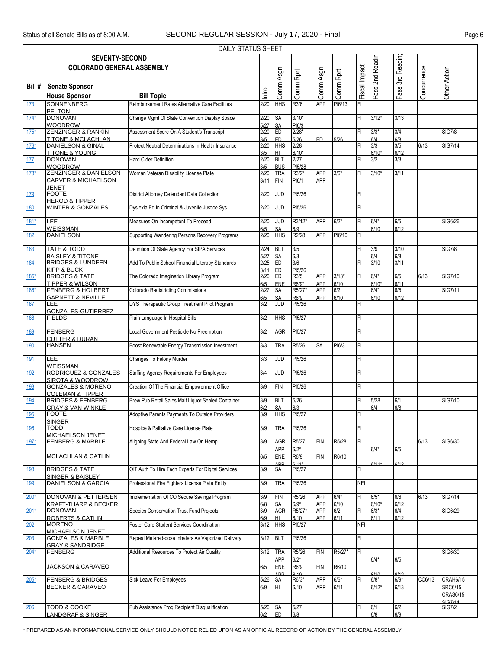|            |                                                              | <b>DAILY STATUS SHEET</b>                          |             |                         |                 |                          |             |               |                   |                 |             |                          |
|------------|--------------------------------------------------------------|----------------------------------------------------|-------------|-------------------------|-----------------|--------------------------|-------------|---------------|-------------------|-----------------|-------------|--------------------------|
|            | <b>SEVENTY-SECOND</b>                                        |                                                    |             |                         |                 |                          |             |               |                   |                 |             |                          |
|            | <b>COLORADO GENERAL ASSEMBLY</b>                             |                                                    |             |                         |                 |                          |             |               | Pass 2nd Readin   | Pass 3rd Readin |             |                          |
|            |                                                              |                                                    |             | Comm Asgn               | Comm Rprt       | Comm Asgn                | Comm Rprt   | Fiscal Impact |                   |                 | Concurrence | Other Action             |
|            |                                                              |                                                    |             |                         |                 |                          |             |               |                   |                 |             |                          |
| Bill #     | <b>Senate Sponsor</b>                                        |                                                    | Intro       |                         |                 |                          |             |               |                   |                 |             |                          |
|            | <b>House Sponsor</b>                                         | <b>Bill Topic</b>                                  |             |                         |                 |                          |             |               |                   |                 |             |                          |
| 173        | <b>SONNENBERG</b>                                            | Reimbursement Rates Alternative Care Facilities    | 2/20        | <b>HHS</b>              | R3/6            | <b>APP</b>               | PI6/13      | FI            |                   |                 |             |                          |
| $174*$     | <b>PELTON</b><br><b>DONOVAN</b>                              | Change Mgmt Of State Convention Display Space      | 2/20        | SA                      | $3/10*$         |                          |             | FI            | $3/12*$           | 3/13            |             |                          |
|            | <b>WOODROW</b>                                               |                                                    | 5/27        | <b>SA</b>               | PI6/3           |                          |             |               |                   |                 |             |                          |
| $175*$     | <b>ZENZINGER &amp; RANKIN</b>                                | Assessment Score On A Student's Transcript         | 2/20        | ED                      | $2/28*$         |                          |             | FI            | $3/3*$            | 3/4             |             | <b>SIG7/8</b>            |
|            | <b>TITONE &amp; MCLACHLAN</b>                                |                                                    | 3/5         | ED                      | 5/26            | F <sub>D</sub>           | 5/26        |               | 6/4               | 6/8             |             |                          |
| 176*       | <b>DANIELSON &amp; GINAL</b>                                 | Protect Neutral Determinations In Health Insurance | 2/20        | <b>HHS</b>              | 2/28            |                          |             | FI            | 3/3               | 3/5             | 6/13        | <b>SIG7/14</b>           |
| 177        | <b>TITONE &amp; YOUNG</b><br><b>DONOVAN</b>                  | Hard Cider Definition                              | 3/5<br>2/20 | HL<br><b>BLT</b>        | $6/10*$<br>2/27 |                          |             | FI            | $6/10*$<br>3/2    | 6/12<br>3/3     |             |                          |
|            | <b>WOODROW</b>                                               |                                                    | 3/5         | <b>BUS</b>              | PI5/28          |                          |             |               |                   |                 |             |                          |
| $178*$     | ZENZINGER & DANIELSON                                        | Woman Veteran Disability License Plate             | 2/20        | <b>TRA</b>              | R3/2*           | <b>APP</b>               | $3/6*$      | FI            | $3/10*$           | 3/11            |             |                          |
|            | <b>CARVER &amp; MICHAELSON</b>                               |                                                    | 3/11        | <b>FIN</b>              | PI6/1           | <b>APP</b>               |             |               |                   |                 |             |                          |
|            | <b>JENET</b>                                                 |                                                    |             |                         |                 |                          |             |               |                   |                 |             |                          |
| 179        | <b>FOOTE</b>                                                 | District Attorney Defendant Data Collection        | 2/20        | JUD                     | PI5/26          |                          |             | FI            |                   |                 |             |                          |
| 180        | <b>HEROD &amp; TIPPER</b><br><b>WINTER &amp; GONZALES</b>    | Dyslexia Ed In Criminal & Juvenile Justice Sys     | 2/20        | <b>JUD</b>              | PI5/26          |                          |             | FI            |                   |                 |             |                          |
|            |                                                              |                                                    |             |                         |                 |                          |             |               |                   |                 |             |                          |
| $181*$     | LEE                                                          | Measures On Incompetent To Proceed                 | 2/20        | g                       | R3/12*          | <b>APP</b>               | $6/2*$      | FI            | $6/4*$            | 6/5             |             | SIG6/26                  |
|            | <b>WEISSMAN</b>                                              |                                                    | 6/5         | <b>SA</b>               | 6/9             |                          |             |               | 6/10              | 6/12            |             |                          |
| 182        | <b>DANIELSON</b>                                             | Supporting Wandering Persons Recovery Programs     | 2/20        | <b>HHS</b>              | R2/28           | <b>APP</b>               | PI6/10      | FI            |                   |                 |             |                          |
| 183        | <b>TATE &amp; TODD</b>                                       | Definition Of State Agency For SIPA Services       | 2/24        | <b>BLT</b>              | 3/5             |                          |             | FI            | 3/9               | 3/10            |             | <b>SIG7/8</b>            |
|            | <b>BAISLEY &amp; TITONE</b>                                  |                                                    | 5/27        | <b>SA</b>               | 6/3             |                          |             |               | 6/4               | 6/8             |             |                          |
| 184        | <b>BRIDGES &amp; LUNDEEN</b>                                 | Add To Public School Financial Literacy Standards  | 2/25        | ED                      | 3/6             |                          |             | FI            | 3/10              | 3/11            |             |                          |
|            | <b>KIPP &amp; BUCK</b>                                       |                                                    | 3/11        | ED                      | PI5/26          |                          |             |               |                   |                 |             |                          |
| $185*$     | <b>BRIDGES &amp; TATE</b>                                    | The Colorado Imagination Library Program           | 2/26        | ED                      | R3/5            | <b>APP</b>               | $3/13*$     | FI            | $6/4*$            | 6/5             | 6/13        | SIG7/10                  |
| 186*       | <b>TIPPER &amp; WILSON</b><br><b>FENBERG &amp; HOLBERT</b>   | <b>Colorado Redistricting Commissions</b>          | 6/5<br>2/27 | ENE<br>SA               | R6/9*<br>R5/27* | <b>APP</b><br><b>APP</b> | 6/10<br>6/2 |               | $6/10*$<br>$6/4*$ | 6/11<br>6/5     |             | <b>SIG7/11</b>           |
|            | <b>GARNETT &amp; NEVILLE</b>                                 |                                                    | 6/5         | <b>SA</b>               | R6/9            | APP                      | 6/10        |               | 6/10              | 6/12            |             |                          |
| 187        | LEE                                                          | DYS Therapeutic Group Treatment Pilot Program      | 3/2         | <b>JUD</b>              | PI5/26          |                          |             | FI            |                   |                 |             |                          |
|            | GONZALES-GUTIERREZ                                           |                                                    |             |                         |                 |                          |             |               |                   |                 |             |                          |
| 188        | <b>FIELDS</b>                                                | Plain Language In Hospital Bills                   | 3/2         | <b>HHS</b>              | PI5/27          |                          |             | FI            |                   |                 |             |                          |
| 189        | FENBERG                                                      | Local Government Pesticide No Preemption           | 3/2         | <b>AGR</b>              | PI5/27          |                          |             | FI            |                   |                 |             |                          |
|            | <b>CUTTER &amp; DURAN</b>                                    |                                                    |             |                         |                 |                          |             |               |                   |                 |             |                          |
| 190        | <b>HANSEN</b>                                                | Boost Renewable Energy Transmission Investment     | 3/3         | <b>TRA</b>              | R5/26           | SA                       | PI6/3       | FI            |                   |                 |             |                          |
|            |                                                              |                                                    |             |                         |                 |                          |             |               |                   |                 |             |                          |
| 191        | LEE<br><b>WEISSMAN</b>                                       | Changes To Felony Murder                           | 3/3         | <b>JUD</b>              | PI5/26          |                          |             | FI            |                   |                 |             |                          |
| <u>192</u> | RODRIGUEZ & GONZALES                                         | <b>Staffing Agency Requirements For Employees</b>  | 3/4         | <b>JUD</b>              | PI5/26          |                          |             | FI            |                   |                 |             |                          |
|            | <b>SIROTA &amp; WOODROW</b>                                  |                                                    |             |                         |                 |                          |             |               |                   |                 |             |                          |
| 193        | <b>GONZALES &amp; MORENO</b>                                 | Creation Of The Financial Empowerment Office       | 3/9         | <b>FIN</b>              | PI5/26          |                          |             | FI.           |                   |                 |             |                          |
|            | <b>COLEMAN &amp; TIPPER</b>                                  |                                                    |             |                         |                 |                          |             |               |                   |                 |             |                          |
| <u>194</u> | <b>BRIDGES &amp; FENBERG</b><br><b>GRAY &amp; VAN WINKLE</b> | Brew Pub Retail Sales Malt Liquor Sealed Container | 3/9<br>6/2  | <b>BLT</b><br><b>SA</b> | 5/26<br>6/3     |                          |             | FI            | 5/28<br>6/4       | 6/1<br>6/8      |             | <b>SIG7/10</b>           |
| 195        | <b>FOOTE</b>                                                 | Adoptive Parents Payments To Outside Providers     | 3/9         | <b>HHS</b>              | PI5/27          |                          |             | FI            |                   |                 |             |                          |
|            | <b>SINGER</b>                                                |                                                    |             |                         |                 |                          |             |               |                   |                 |             |                          |
| 196        | <b>TODD</b>                                                  | Hospice & Palliative Care License Plate            | 3/9         | <b>TRA</b>              | PI5/26          |                          |             | FI            |                   |                 |             |                          |
|            | MICHAELSON JENET                                             | Aligning State And Federal Law On Hemp             |             |                         |                 |                          |             |               |                   |                 |             |                          |
| 197*       | <b>FENBERG &amp; MARBLE</b>                                  |                                                    | 3/9         | <b>AGR</b><br>APP       | R5/27<br>$6/2*$ | <b>FIN</b>               | R5/28       | FI            | $6/4*$            | 6/5             | 6/13        | SIG6/30                  |
|            | <b>MCLACHLAN &amp; CATLIN</b>                                |                                                    | 6/5         | <b>ENE</b>              | R6/9            | <b>FIN</b>               | R6/10       |               |                   |                 |             |                          |
|            |                                                              |                                                    |             | <b>APP</b>              | $6111*$         |                          |             |               | $6111*$           | 6/12            |             |                          |
| 198        | <b>BRIDGES &amp; TATE</b>                                    | OIT Auth To Hire Tech Experts For Digital Services | 3/9         | <b>SA</b>               | PI5/27          |                          |             | FI            |                   |                 |             |                          |
| 199        | SINGER & BAISLEY<br><b>DANIELSON &amp; GARCIA</b>            | Professional Fire Fighters License Plate Entity    | 3/9         | <b>TRA</b>              | PI5/26          |                          |             | <b>NFI</b>    |                   |                 |             |                          |
|            |                                                              |                                                    |             |                         |                 |                          |             |               |                   |                 |             |                          |
| $200*$     | <b>DONOVAN &amp; PETTERSEN</b>                               | Implementation Of CO Secure Savings Program        | 3/9         | <b>FIN</b>              | R5/26           | <b>APP</b>               | $6/4*$      | FI            | $6/5*$            | 6/6             | 6/13        | <b>SIG7/14</b>           |
|            | <b>KRAFT-THARP &amp; BECKER</b>                              |                                                    | 6/8         | <b>SA</b>               | $6/9*$          | APP                      | 6/10        |               | $6/10*$           | 6/12            |             |                          |
| $201*$     | <b>DONOVAN</b>                                               | Species Conservation Trust Fund Projects           | 3/9         | <b>AGR</b>              | R5/27*          | <b>APP</b>               | 6/2         | FI            | $6/3*$            | 6/4             |             | SIG6/29                  |
| 202        | <b>ROBERTS &amp; CATLIN</b><br><b>MORENO</b>                 | Foster Care Student Services Coordination          | 6/9<br>3/12 | HI<br><b>HHS</b>        | 6/10<br>PI5/27  | <b>APP</b>               | 6/11        | <b>NFI</b>    | 6/11              | 6/12            |             |                          |
|            | <b>MICHAELSON JENET</b>                                      |                                                    |             |                         |                 |                          |             |               |                   |                 |             |                          |
| 203        | <b>GONZALES &amp; MARBLE</b>                                 | Repeal Metered-dose Inhalers As Vaporized Delivery | 3/12        | <b>BLT</b>              | PI5/26          |                          |             | FI            |                   |                 |             |                          |
|            | <b>GRAY &amp; SANDRIDGE</b>                                  |                                                    |             |                         |                 |                          |             |               |                   |                 |             |                          |
| $204*$     | FENBERG                                                      | Additional Resources To Protect Air Quality        | 3/12        | <b>TRA</b>              | R5/26           | <b>FIN</b>               | R5/27*      | IFL           |                   |                 |             | SIG6/30                  |
|            | <b>JACKSON &amp; CARAVEO</b>                                 |                                                    |             | <b>APP</b>              | $6/2*$          |                          |             |               | $6/4*$            | 6/5             |             |                          |
|            |                                                              |                                                    | 6/5         | <b>ENE</b><br>ΔDD       | R6/9<br>6/10    | <b>FIN</b>               | R6/10       |               | 6/10              | 6/12            |             |                          |
| $205*$     | <b>FENBERG &amp; BRIDGES</b>                                 | Sick Leave For Employees                           | 5/26        | SA                      | $R6/3*$         | <b>APP</b>               | $6/6*$      | FI            | $6/8*$            | $6/9*$          | CC6/13      | CRAH6/15                 |
|            | <b>BECKER &amp; CARAVEO</b>                                  |                                                    | 6/9         | <b>HI</b>               | 6/10            | APP                      | 6/11        |               | $6/12*$           | 6/13            |             | <b>SRC6/15</b>           |
|            |                                                              |                                                    |             |                         |                 |                          |             |               |                   |                 |             | <b>CRAS6/15</b>          |
| 206        | TODD & COOKE                                                 | Pub Assistance Prog Recipient Disqualification     | 5/26        | <b>SA</b>               | 5/27            |                          |             | FI            | 6/1               | 6/2             |             | CIG7/14<br><b>SIG7/2</b> |
|            | <b>LANDGRAF &amp; SINGER</b>                                 |                                                    | 6/2         | <b>IED</b>              | 6/8             |                          |             |               | 6/8               | 6/9             |             |                          |

\* PREPARED AS AN INFORMATIONAL SERVICE ONLY SHOULD NOT BE RELIED UPON AS AN OFFICIAL RECORD OF ACTION BY THE GENERAL ASSEMBLY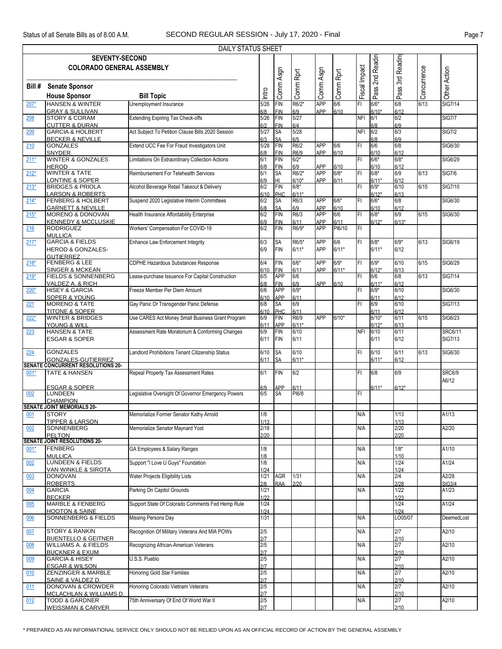|        |                                                                 | DAILY STATUS SHEET                                 |                |                          |             |                          |             |               |                   |                       |             |                |
|--------|-----------------------------------------------------------------|----------------------------------------------------|----------------|--------------------------|-------------|--------------------------|-------------|---------------|-------------------|-----------------------|-------------|----------------|
|        | <b>SEVENTY-SECOND</b>                                           |                                                    |                |                          |             |                          |             |               |                   |                       |             |                |
|        | <b>COLORADO GENERAL ASSEMBLY</b>                                |                                                    |                |                          |             |                          |             |               | 2nd Readin        | 3rd Readin            |             |                |
|        |                                                                 |                                                    |                | Comm Asgn                | Comm Rprt   | Comm Asgn                | Comm Rprt   | Fiscal Impact |                   |                       | Concurrence | Other Action   |
|        |                                                                 |                                                    |                |                          |             |                          |             |               |                   |                       |             |                |
| Bill # | <b>Senate Sponsor</b>                                           |                                                    |                |                          |             |                          |             |               | Pass <sup>:</sup> | Pass <sup>?</sup>     |             |                |
|        | <b>House Sponsor</b>                                            | <b>Bill Topic</b>                                  | ntro           |                          |             |                          |             |               |                   |                       |             |                |
| $207*$ | <b>HANSEN &amp; WINTER</b>                                      | Unemployment Insurance                             | 5/26           | <b>FIN</b>               | R6/2*       | <b>APP</b>               | 6/6         | FI            | $6/6*$            | 6/8                   | 6/13        | <b>SIG7/14</b> |
|        | <b>GRAY &amp; SULLIVAN</b>                                      |                                                    | 6/8            | <b>FIN</b>               | 6/9         | APP                      | 6/10        |               | $6/10*$           | 6/12                  |             |                |
| 208    | <b>STORY &amp; CORAM</b>                                        | <b>Extending Expiring Tax Check-offs</b>           | 5/26           | <b>FIN</b>               | 5/27        |                          |             | <b>NFI</b>    | 6/1               | 6/2                   |             | <b>SIG7/7</b>  |
|        | <b>CUTTER &amp; DURAN</b>                                       |                                                    | 6/2            | <b>FIN</b>               | 6/4         |                          |             |               | 6/8               | 6/9                   |             |                |
| 209    | <b>GARCIA &amp; HOLBERT</b>                                     | Act Subject To Petition Clause Bills 2020 Session  | 5/27           | SA                       | 5/28        |                          |             | <b>NFI</b>    | 6/2               | 6/3                   |             | <b>SIG7/2</b>  |
| 210    | <b>BECKER &amp; NEVILLE</b><br><b>GONZALES</b>                  | Extend UCC Fee For Fraud Investigators Unit        | 6/3<br>5/28    | SA<br><b>FIN</b>         | 6/5<br>R6/2 | <b>APP</b>               | 6/6         | İΕΙ           | 6/8<br>6/6        | 6/9<br>6/8            |             | SIG6/30        |
|        | <b>SNYDER</b>                                                   |                                                    | 6/8            | <b>FIN</b>               | R6/9        | APP                      | 6/10        |               | 6/10              | 6/12                  |             |                |
| $211*$ | <b>WINTER &amp; GONZALES</b>                                    | Limitations On Extraordinary Collection Actions    | 6/1            | <b>FIN</b>               | $6/2*$      |                          |             | FL            | $6/6*$            | $6/8*$                |             | SIG6/29        |
|        | <b>HEROD</b>                                                    |                                                    | 6/8            | FIN                      | 6/9         | APP                      | 6/10        |               | 6/10              | 6/12                  |             |                |
| $212*$ | <b>WINTER &amp; TATE</b>                                        | Reimbursement For Telehealth Services              | 6/1            | <b>SA</b>                | R6/2*       | <b>APP</b>               | $6/8*$      | FI            | $6/8*$            | 6/9                   | 6/13        | <b>SIG7/6</b>  |
|        | <b>LONTINE &amp; SOPER</b>                                      |                                                    | 6/9            | HL                       | $6/10*$     | <b>APP</b>               | 6/11        |               | $6/11*$           | 6/12                  |             |                |
| $213*$ | <b>BRIDGES &amp; PRIOLA</b>                                     | Alcohol Beverage Retail Takeout & Delivery         | 6/2            | <b>FIN</b>               | $6/8*$      |                          |             | FI            | $6/9*$            | 6/10                  | 6/15        | <b>SIG7/10</b> |
|        | <b>LARSON &amp; ROBERTS</b>                                     |                                                    | 6/10           | PHC                      | $6/11*$     |                          |             |               | $6/12*$           | 6/13                  |             |                |
| $214*$ | <b>FENBERG &amp; HOLBERT</b>                                    | Suspend 2020 Legislative Interim Committees        | 6/2            | SA                       | R6/3        | <b>APP</b>               | $6/6*$      | FI            | $6/6*$            | 6/8                   |             | SIG6/30        |
| $215*$ | <b>GARNETT &amp; NEVILLE</b><br>MORENO & DONOVAN                | Health Insurance Affordability Enterprise          | 6/8<br>6/2     | <b>SA</b><br><b>FIN</b>  | 6/9<br>R6/3 | <b>APP</b><br><b>APP</b> | 6/10<br>6/6 | F1            | 6/10<br>$6/8*$    | 6/12<br>6/9           | 6/15        | SIG6/30        |
|        | <b>KENNEDY &amp; MCCLUSKIE</b>                                  |                                                    | 6/9            | <b>FIN</b>               | 6/11        | <b>APP</b>               | 6/11        |               | $6/12*$           | $6/13*$               |             |                |
| 216    | <b>RODRIGUEZ</b>                                                | Workers' Compensation For COVID-19                 | 6/2            | <b>FIN</b>               | R6/9*       | <b>APP</b>               | PI6/10      | IFI           |                   |                       |             |                |
|        | <b>MULLICA</b>                                                  |                                                    |                |                          |             |                          |             |               |                   |                       |             |                |
| $217*$ | <b>GARCIA &amp; FIELDS</b>                                      | <b>Enhance Law Enforcement Integrity</b>           | 6/3            | <b>SA</b>                | R6/5*       | <b>APP</b>               | 6/6         | FL            | $6/8*$            | $6/9*$                | 6/13        | SIG6/19        |
|        | <b>HEROD &amp; GONZALES-</b>                                    |                                                    | 6/9            | <b>FIN</b>               | $6/11*$     | <b>APP</b>               | $6/11*$     |               | $6/11*$           | 6/12                  |             |                |
|        | <b>GUTIERREZ</b>                                                |                                                    |                |                          |             |                          |             |               |                   |                       |             |                |
| $218*$ | <b>FENBERG &amp; LEE</b>                                        | <b>CDPHE Hazardous Substances Response</b>         | 6/4            | <b>FIN</b>               | $6/6*$      | <b>APP</b>               | $6/9*$      | FL            | $6/9*$            | 6/10                  | 6/15        | SIG6/29        |
|        | <b>SINGER &amp; MCKEAN</b><br><b>FIELDS &amp; SONNENBERG</b>    |                                                    | 6/10           | <b>FIN</b><br><b>APP</b> | 6/11        | APP                      | $6/11*$     | İΕΙ           | $6/12*$<br>6/6    | 6/13<br>6/8           | 6/13        |                |
| $219*$ | VALDEZ A. & RICH                                                | Lease-purchase Issuance For Capital Construction   | 6/5<br>6/8     | <b>FIN</b>               | 6/6<br>6/9  | APP                      | 6/10        |               | $6/11*$           | 6/12                  |             | <b>SIG7/14</b> |
| $220*$ | <b>HISEY &amp; GARCIA</b>                                       | Freeze Member Per Diem Amount                      | 6/6            | <b>APP</b>               | $6/9*$      |                          |             | ΙFΙ           | $6/9*$            | 6/10                  |             | SIG6/30        |
|        | <b>SOPER &amp; YOUNG</b>                                        |                                                    | 6/10           | <b>APP</b>               | 6/11        |                          |             |               | 6/11              | 6/12                  |             |                |
| 221    | <b>MORENO &amp; TATE</b>                                        | Gay Panic Or Transgender Panic Defense             | 6/8            | <b>SA</b>                | 6/9         |                          |             | İΕΙ           | 6/9               | 6/10                  |             | <b>SIG7/13</b> |
|        | <b>TITONE &amp; SOPER</b>                                       |                                                    | 6/10           | PHC                      | 6/11        |                          |             |               | 6/11              | 6/12                  |             |                |
| $222*$ | <b>WINTER &amp; BRIDGES</b>                                     | Use CARES Act Money Small Business Grant Program   | 6/9            | <b>FIN</b>               | R6/9        | <b>APP</b>               | $6/10*$     |               | $6/10*$           | 6/11                  | 6/15        | SIG6/23        |
|        | YOUNG & WILL                                                    |                                                    | 6/11           | <b>APP</b>               | $6/11*$     |                          |             |               | $6/12*$           | 6/13                  |             |                |
| 223    | <b>HANSEN &amp; TATE</b>                                        | Assessment Rate Moratorium & Conforming Changes    | 6/9            | <b>FIN</b>               | 6/10        |                          |             | <b>NFI</b>    | 6/10              | 6/11                  |             | <b>SRC6/11</b> |
|        | <b>ESGAR &amp; SOPER</b>                                        |                                                    | 6/11           | <b>FIN</b>               | 6/11        |                          |             |               | 6/11              | 6/12                  |             | <b>SIG7/13</b> |
| 224    | <b>GONZALES</b>                                                 | Landlord Prohibitions Tenant Citizenship Status    | 6/10           | <b>SA</b>                | 6/10        |                          |             | FI            | 6/10              | 6/11                  | 6/13        | SIG6/30        |
|        | GONZALES-GUTIERREZ                                              |                                                    | 6/11           | <b>SA</b>                | $6/11*$     |                          |             |               | $6/11*$           | 6/12                  |             |                |
|        | <b>SENATE CONCURRENT RESOLUTIONS 20-</b>                        |                                                    |                |                          |             |                          |             |               |                   |                       |             |                |
| $001*$ | <b>TATE &amp; HANSEN</b>                                        | Repeal Property Tax Assessment Rates               | 6/1            | FIN                      | 6/2         |                          |             | FI            | 6/8               | 6/9                   |             | <b>SRC6/9</b>  |
|        |                                                                 |                                                    |                |                          |             |                          |             |               |                   |                       |             | A6/12          |
|        | <b>ESGAR &amp; SOPER</b>                                        |                                                    | 6/9            | <b>APP</b>               | 6/11        |                          |             |               | $6/11*$           | $6/12*$               |             |                |
| 002    | <b>LUNDEEN</b>                                                  | Legislative Oversight Of Governor Emergency Powers | 6/5            | <b>SA</b>                | PI6/8       |                          |             | FI            |                   |                       |             |                |
|        | <b>CHAMPION</b><br><b>SENATE JOINT MEMORIALS 20-</b>            |                                                    |                |                          |             |                          |             |               |                   |                       |             |                |
| 001    | <b>STORY</b>                                                    | Memorialize Former Senator Kathy Arnold            | 1/8            |                          |             |                          |             | N/A           |                   | 1/13                  |             | A1/13          |
|        | <b>TIPPER &amp; LARSON</b>                                      |                                                    | 1/13           |                          |             |                          |             |               |                   | 1/13                  |             |                |
| 002    | <b>SONNENBERG</b>                                               | Memorialize Senator Maynard Yost                   | 2/18           |                          |             |                          |             | N/A           |                   | 2/20                  |             | A2/20          |
|        | <b>PELTON</b>                                                   |                                                    | 2/20           |                          |             |                          |             |               |                   | 2/20                  |             |                |
|        | <b>SENATE JOINT RESOLUTIONS 20-</b>                             |                                                    |                |                          |             |                          |             |               |                   |                       |             |                |
| $001*$ | FENBERG                                                         | GA Employees & Salary Ranges                       | 1/8            |                          |             |                          |             | N/A           |                   | $1/8*$                |             | A1/10          |
|        | <b>MULLICA</b><br><b>LUNDEEN &amp; FIELDS</b>                   | Support "I Love U Guys" Foundation                 | 1/8<br>1/8     |                          |             |                          |             | N/A           |                   | 1/10<br>1/24          |             | A1/24          |
| 002    | VAN WINKLE & SIROTA                                             |                                                    | 1/24           |                          |             |                          |             |               |                   | 1/24                  |             |                |
| 003    | <b>DONOVAN</b>                                                  | Water Projects Eligibility Lists                   | 1/21           | <b>AGR</b>               | 1/31        |                          |             | N/A           |                   | 2/4                   |             | A2/28          |
|        | <b>ROBERTS</b>                                                  |                                                    | 2/6            | <b>RAA</b>               | 2/20        |                          |             |               |                   | 2/28                  |             | <b>SIG3/4</b>  |
| 004    | <b>GARCIA</b>                                                   | Parking On Capitol Grounds                         | 1/21           |                          |             |                          |             | N/A           |                   | 1/22                  |             | A1/23          |
|        | <b>BECKER</b>                                                   |                                                    | 1/22           |                          |             |                          |             |               |                   | 1/23                  |             |                |
| 005    | MARBLE & FENBERG                                                | Support State Of Colorado Comments Fed Hemp Rule   | $\frac{1}{24}$ |                          |             |                          |             |               |                   | 1/24                  |             | A1/24          |
|        | <b>HOOTON &amp; SAINE</b>                                       |                                                    | 1/24           |                          |             |                          |             |               |                   | 1/24                  |             |                |
| 006    | SONNENBERG & FIELDS                                             | <b>Missing Persons Day</b>                         | 1/31           |                          |             |                          |             | N/A           |                   | LO05/07               |             | DeemedLost     |
| 007    | <b>STORY &amp; RANKIN</b>                                       | Recognition Of Military Veterans And MIA POWs      | 2/5            |                          |             |                          |             | N/A           |                   | 2/7                   |             | A2/10          |
|        | <b>BUENTELLO &amp; GEITNER</b>                                  |                                                    | 2/7            |                          |             |                          |             |               |                   | 2/10                  |             |                |
| 008    | <b>WILLIAMS A. &amp; FIELDS</b>                                 | Recognizing African-American Veterans              | 2/5            |                          |             |                          |             | N/A           |                   | 2/7                   |             | A2/10          |
|        | <b>BUCKNER &amp; EXUM</b>                                       |                                                    | 2/7            |                          |             |                          |             |               |                   | 2/10                  |             |                |
| 009    | <b>GARCIA &amp; HISEY</b>                                       | U.S.S. Pueblo                                      | 2/5            |                          |             |                          |             | N/A           |                   | 2/7                   |             | A2/10          |
|        | <b>ESGAR &amp; WILSON</b>                                       |                                                    | 2/7            |                          |             |                          |             |               |                   | 2/10                  |             |                |
| 010    | ZENZINGER & MARBLE                                              | <b>Honoring Gold Star Families</b>                 | 2/5            |                          |             |                          |             | N/A           |                   | 2/7                   |             | A2/10          |
|        | SAINE & VALDEZ D.                                               |                                                    | 2/7<br>2/5     |                          |             |                          |             |               |                   | 2/10<br>$\frac{1}{2}$ |             |                |
| 011    | <b>DONOVAN &amp; CROWDER</b>                                    | Honoring Colorado Vietnam Veterans                 | 2/7            |                          |             |                          |             | N/A           |                   |                       |             | A2/10          |
| 012    | <b>MCLACHLAN &amp; WILLIAMS D.</b><br><b>TODD &amp; GARDNER</b> | 75th Anniversary Of End Of World War II            | 2/5            |                          |             |                          |             | N/A           |                   | 2/10<br>2/7           |             | A2/10          |
|        | <b>WEISSMAN &amp; CARVER</b>                                    |                                                    | 2/7            |                          |             |                          |             |               |                   | 2/10                  |             |                |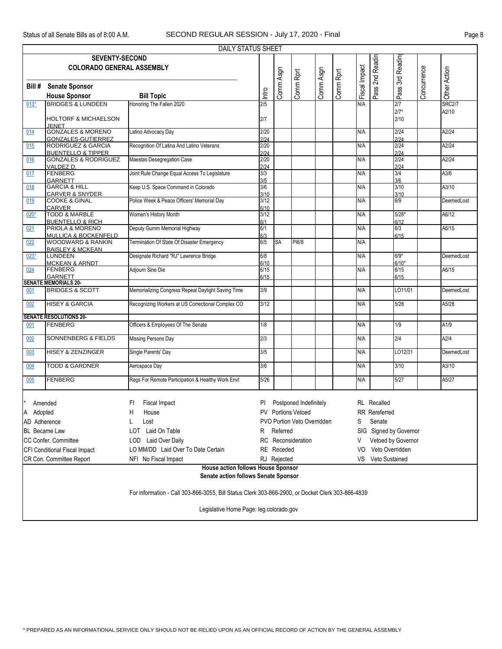|                                                                                   | DAILY STATUS SHEET                                                                      |                                                                                                   |                  |                 |                             |           |           |               |                      |                        |             |               |  |  |
|-----------------------------------------------------------------------------------|-----------------------------------------------------------------------------------------|---------------------------------------------------------------------------------------------------|------------------|-----------------|-----------------------------|-----------|-----------|---------------|----------------------|------------------------|-------------|---------------|--|--|
|                                                                                   | <b>SEVENTY-SECOND</b>                                                                   |                                                                                                   |                  |                 |                             |           |           |               |                      |                        |             |               |  |  |
|                                                                                   | <b>COLORADO GENERAL ASSEMBLY</b>                                                        |                                                                                                   |                  |                 |                             |           |           | Fiscal Impact | 2nd Readin           | Pass 3rd Readin        |             |               |  |  |
|                                                                                   |                                                                                         |                                                                                                   |                  | Comm Asgn       | Comm Rprt                   | Comm Asgn | Comm Rprt |               |                      |                        | Concurrence |               |  |  |
| Bill #                                                                            | <b>Senate Sponsor</b>                                                                   |                                                                                                   |                  |                 |                             |           |           |               |                      |                        |             |               |  |  |
|                                                                                   | <b>House Sponsor</b>                                                                    | <b>Bill Topic</b>                                                                                 | Intro            |                 |                             |           |           |               | Pass'                |                        |             | Other Action  |  |  |
| $013*$                                                                            | <b>BRIDGES &amp; LUNDEEN</b>                                                            | Honoring The Fallen 2020                                                                          | $\overline{2/5}$ |                 |                             |           |           | N/A           |                      | 2/7                    |             | <b>SRC2/7</b> |  |  |
|                                                                                   |                                                                                         |                                                                                                   |                  |                 |                             |           |           |               |                      | $2/7*$                 |             | A2/10         |  |  |
|                                                                                   | <b>HOLTORF &amp; MICHAELSON</b><br><b>IFNET</b>                                         |                                                                                                   | 2/7              |                 |                             |           |           |               |                      | 2/10                   |             |               |  |  |
| 014                                                                               | <b>GONZALES &amp; MORENO</b>                                                            | Latino Advocacy Day                                                                               | 2/20             |                 |                             |           |           | N/A           |                      | 2/24                   |             | A2/24         |  |  |
|                                                                                   | <b>GONZALES-GUTIERREZ</b>                                                               |                                                                                                   | 2/24             |                 |                             |           |           |               |                      | 2/24                   |             |               |  |  |
| 015                                                                               | <b>RODRIGUEZ &amp; GARCIA</b><br><b>BUENTELLO &amp; TIPPER</b>                          | Recognition Of Latina And Latino Veterans                                                         | 2/20<br>2/24     |                 |                             |           |           | N/A           |                      | 2/24<br>2/24           |             | A2/24         |  |  |
| 016                                                                               | <b>GONZALES &amp; RODRIGUEZ</b>                                                         | Maestas Desegregation Case                                                                        | 2/20             |                 |                             |           |           | N/A           |                      | 2/24                   |             | A2/24         |  |  |
|                                                                                   | VALDEZ D.                                                                               |                                                                                                   | 2/24             |                 |                             |           |           |               |                      | 2/24                   |             |               |  |  |
| 017                                                                               | <b>FENBERG</b>                                                                          | Joint Rule Change Equal Access To Legislature                                                     | 3/3              |                 |                             |           |           | N/A           |                      | 3/4                    |             | A3/6          |  |  |
| 018                                                                               | <b>GARNETT</b><br><b>GARCIA &amp; HILL</b>                                              | Keep U.S. Space Command in Colorado                                                               | 3/5<br>3/6       |                 |                             |           |           | N/A           |                      | 3/6<br>3/10            |             | A3/10         |  |  |
|                                                                                   | <b>CARVER &amp; SNYDER</b>                                                              |                                                                                                   | 3/10             |                 |                             |           |           |               |                      | 3/10                   |             |               |  |  |
| 019                                                                               | <b>COOKE &amp; GINAL</b>                                                                | Police Week & Peace Officers' Memorial Day                                                        | 3/12             |                 |                             |           |           | N/A           |                      | 6/9                    |             | DeemedLost    |  |  |
| 020*                                                                              | <b>CARVER</b><br>TODD & MARBLE                                                          | Women's History Month                                                                             | 6/10<br>3/12     |                 |                             |           |           | N/A           |                      | $5/28*$                |             | A6/12         |  |  |
|                                                                                   | <b>BUENTELLO &amp; RICH</b>                                                             |                                                                                                   | 6/1              |                 |                             |           |           |               |                      | 6/12                   |             |               |  |  |
| 021                                                                               | PRIOLA & MORENO                                                                         | Deputy Gumm Memorial Highway                                                                      | 6/1              |                 |                             |           |           | N/A           |                      | 6/3                    |             | A6/15         |  |  |
| 022                                                                               | <b>MULLICA &amp; BOCKENFELD</b><br><b>WOODWARD &amp; RANKIN</b>                         | Termination Of State Of Disaster Emergency                                                        | 6/3<br>6/5       | SA              | PI6/8                       |           |           | N/A           |                      | 6/15                   |             |               |  |  |
|                                                                                   | <b>BAISLEY &amp; MCKEAN</b>                                                             |                                                                                                   |                  |                 |                             |           |           |               |                      |                        |             |               |  |  |
| 023*                                                                              | <b>LUNDEEN</b>                                                                          | Designate Richard "RJ" Lawrence Bridge                                                            | 6/8              |                 |                             |           |           | N/A           |                      | $6/9*$                 |             | DeemedLost    |  |  |
|                                                                                   | <b>MCKEAN &amp; ARNDT</b>                                                               |                                                                                                   | 6/10             |                 |                             |           |           |               |                      | $6/10*$                |             |               |  |  |
| 024                                                                               | <b>FENBERG</b><br><b>GARNETT</b>                                                        | Adjourn Sine Die                                                                                  | 6/15<br>6/15     |                 |                             |           |           | N/A           |                      | 6/15<br>6/15           |             | A6/15         |  |  |
|                                                                                   | <b>SENATE MEMORIALS 20-</b>                                                             |                                                                                                   |                  |                 |                             |           |           |               |                      |                        |             |               |  |  |
| 001                                                                               | <b>BRIDGES &amp; SCOTT</b>                                                              | Memorializing Congress Repeal Daylight Saving Time                                                | 3/9              |                 |                             |           |           | N/A           |                      | LO11/01                |             | DeemedLost    |  |  |
| 002                                                                               | <b>HISEY &amp; GARCIA</b>                                                               | Recognizing Workers at US Correctional Complex CO                                                 | 3/12             |                 |                             |           |           | N/A           |                      | 5/28                   |             | A5/28         |  |  |
|                                                                                   |                                                                                         |                                                                                                   |                  |                 |                             |           |           |               |                      |                        |             |               |  |  |
|                                                                                   | <b>SENATE RESOLUTIONS 20-</b>                                                           |                                                                                                   |                  |                 |                             |           |           |               |                      |                        |             |               |  |  |
| 001                                                                               | FENBERG                                                                                 | Officers & Employees Of The Senate                                                                | 1/8              |                 |                             |           |           | N/A           |                      | 1/9                    |             | A1/9          |  |  |
| 002                                                                               | <b>SONNENBERG &amp; FIELDS</b>                                                          | <b>Missing Persons Day</b>                                                                        | 2/3              |                 |                             |           |           | N/A           |                      | 2/4                    |             | A2/4          |  |  |
|                                                                                   |                                                                                         |                                                                                                   |                  |                 |                             |           |           |               |                      |                        |             |               |  |  |
| 003                                                                               | <b>HISEY &amp; ZENZINGER</b>                                                            | Single Parents' Day                                                                               | 3/5              |                 |                             |           |           | N/A           |                      | LO12/31                |             | DeemedLost    |  |  |
| 004                                                                               | <b>TODD &amp; GARDNER</b>                                                               | Aerospace Day                                                                                     | 3/6              |                 |                             |           |           | N/A           |                      | 3/10                   |             | A3/10         |  |  |
|                                                                                   |                                                                                         |                                                                                                   |                  |                 |                             |           |           |               |                      |                        |             |               |  |  |
| 005                                                                               | <b>FENBERG</b>                                                                          | Regs For Remote Participation & Healthy Work Envt                                                 | 5/26             |                 |                             |           |           | N/A           |                      | 5/27                   |             | A5/27         |  |  |
|                                                                                   |                                                                                         |                                                                                                   |                  |                 |                             |           |           |               |                      |                        |             |               |  |  |
|                                                                                   | Amended                                                                                 | Fiscal Impact<br>FI                                                                               | PI               |                 | Postponed Indefinitely      |           |           |               | <b>RL</b> Recalled   |                        |             |               |  |  |
| Adopted<br>A                                                                      |                                                                                         | House<br>н                                                                                        |                  |                 | <b>PV</b> Portions Vetoed   |           |           |               | <b>RR</b> Rereferred |                        |             |               |  |  |
| AD Adherence                                                                      |                                                                                         | Lost                                                                                              |                  |                 | PVO Portion Veto Overridden |           |           | S             | Senate               |                        |             |               |  |  |
|                                                                                   | <b>BL</b> Became Law                                                                    | Laid On Table<br>LOT                                                                              | R                | Referred        |                             |           |           |               |                      | SIG Signed by Governor |             |               |  |  |
|                                                                                   | CC Confer. Committee                                                                    | RC                                                                                                |                  | Reconsideration |                             |           | V         |               | Vetoed by Governor   |                        |             |               |  |  |
|                                                                                   |                                                                                         | Laid Over Daily<br><b>LOD</b><br>LO MM/DD Laid Over To Date Certain                               |                  | RE Receded      |                             |           |           |               | Veto Overridden      |                        |             |               |  |  |
|                                                                                   | CFI Conditional Fiscal Impact                                                           |                                                                                                   |                  |                 |                             |           |           | VO            |                      |                        |             |               |  |  |
|                                                                                   | CR Con. Committee Report<br>Veto Sustained<br>NFI No Fiscal Impact<br>RJ Rejected<br>VS |                                                                                                   |                  |                 |                             |           |           |               |                      |                        |             |               |  |  |
| <b>House action follows House Sponsor</b><br>Senate action follows Senate Sponsor |                                                                                         |                                                                                                   |                  |                 |                             |           |           |               |                      |                        |             |               |  |  |
|                                                                                   |                                                                                         | For information - Call 303-866-3055, Bill Status Clerk 303-866-2900, or Docket Clerk 303-866-4839 |                  |                 |                             |           |           |               |                      |                        |             |               |  |  |
|                                                                                   | Legislative Home Page: leg.colorado.gov                                                 |                                                                                                   |                  |                 |                             |           |           |               |                      |                        |             |               |  |  |